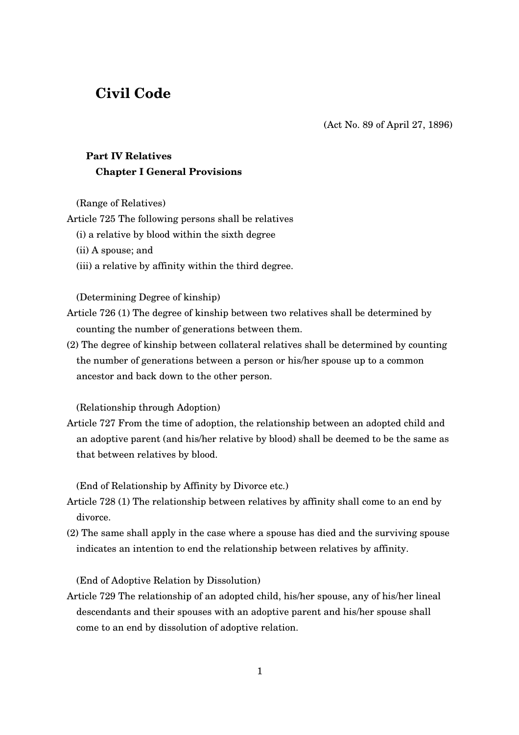# **Civil Code**

(Act No. 89 of April 27, 1896)

# **Part IV Relatives Chapter I General Provisions**

(Range of Relatives)

Article 725 The following persons shall be relatives

- (i) a relative by blood within the sixth degree
- (ii) A spouse; and
- (iii) a relative by affinity within the third degree.

## (Determining Degree of kinship)

- Article 726 (1) The degree of kinship between two relatives shall be determined by counting the number of generations between them.
- (2) The degree of kinship between collateral relatives shall be determined by counting the number of generations between a person or his/her spouse up to a common ancestor and back down to the other person.

(Relationship through Adoption)

Article 727 From the time of adoption, the relationship between an adopted child and an adoptive parent (and his/her relative by blood) shall be deemed to be the same as that between relatives by blood.

(End of Relationship by Affinity by Divorce etc.)

- Article 728 (1) The relationship between relatives by affinity shall come to an end by divorce.
- (2) The same shall apply in the case where a spouse has died and the surviving spouse indicates an intention to end the relationship between relatives by affinity.

(End of Adoptive Relation by Dissolution)

Article 729 The relationship of an adopted child, his/her spouse, any of his/her lineal descendants and their spouses with an adoptive parent and his/her spouse shall come to an end by dissolution of adoptive relation.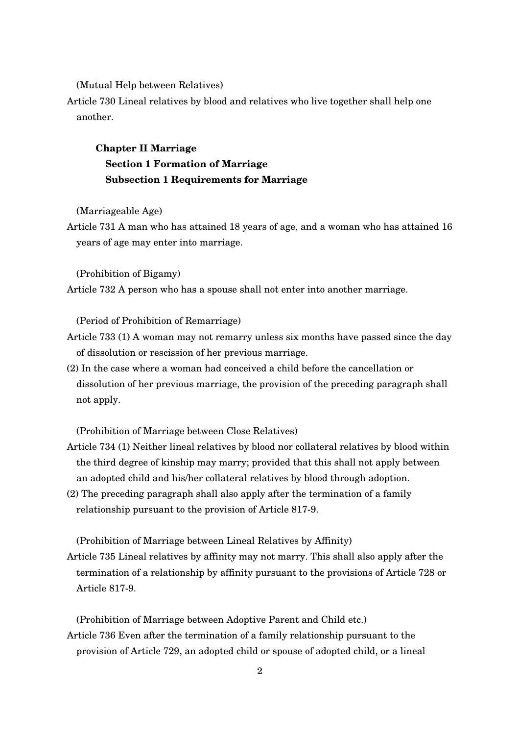(Mutual Help between Relatives)

Article 730 Lineal relatives by blood and relatives who live together shall help one another.

# **Chapter II Marriage Section 1 Formation of Marriage Subsection 1 Requirements for Marriage**

(Marriageable Age)

Article 731 A man who has attained 18 years of age, and a woman who has attained 16 years of age may enter into marriage.

(Prohibition of Bigamy)

Article 732 A person who has a spouse shall not enter into another marriage.

(Period of Prohibition of Remarriage)

- Article 733 (1) A woman may not remarry unless six months have passed since the day of dissolution or rescission of her previous marriage.
- (2) In the case where a woman had conceived a child before the cancellation or dissolution of her previous marriage, the provision of the preceding paragraph shall not apply.

(Prohibition of Marriage between Close Relatives)

- Article 734 (1) Neither lineal relatives by blood nor collateral relatives by blood within the third degree of kinship may marry; provided that this shall not apply between an adopted child and his/her collateral relatives by blood through adoption.
- (2) The preceding paragraph shall also apply after the termination of a family relationship pursuant to the provision of Article 817-9.

(Prohibition of Marriage between Lineal Relatives by Affinity)

Article 735 Lineal relatives by affinity may not marry. This shall also apply after the termination of a relationship by affinity pursuant to the provisions of Article 728 or Article 817-9.

(Prohibition of Marriage between Adoptive Parent and Child etc.) Article 736 Even after the termination of a family relationship pursuant to the provision of Article 729, an adopted child or spouse of adopted child, or a lineal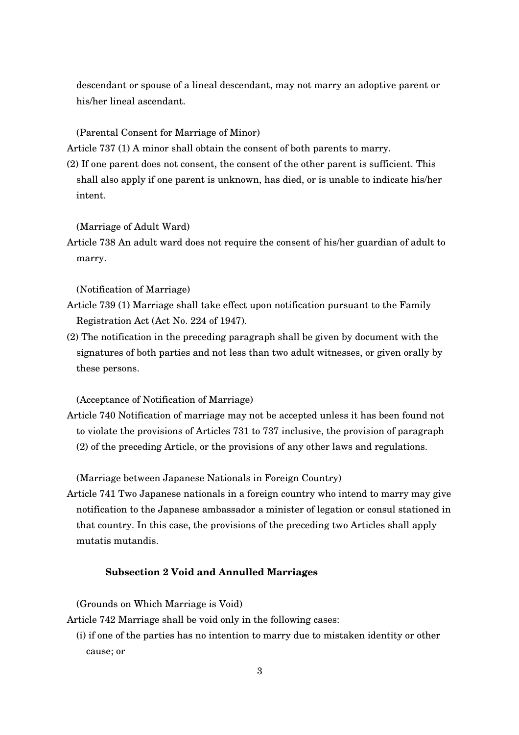descendant or spouse of a lineal descendant, may not marry an adoptive parent or his/her lineal ascendant.

(Parental Consent for Marriage of Minor)

Article 737 (1) A minor shall obtain the consent of both parents to marry.

(2) If one parent does not consent, the consent of the other parent is sufficient. This shall also apply if one parent is unknown, has died, or is unable to indicate his/her intent.

(Marriage of Adult Ward)

Article 738 An adult ward does not require the consent of his/her guardian of adult to marry.

(Notification of Marriage)

- Article 739 (1) Marriage shall take effect upon notification pursuant to the Family Registration Act (Act No. 224 of 1947).
- (2) The notification in the preceding paragraph shall be given by document with the signatures of both parties and not less than two adult witnesses, or given orally by these persons.

(Acceptance of Notification of Marriage)

Article 740 Notification of marriage may not be accepted unless it has been found not to violate the provisions of Articles 731 to 737 inclusive, the provision of paragraph (2) of the preceding Article, or the provisions of any other laws and regulations.

(Marriage between Japanese Nationals in Foreign Country)

Article 741 Two Japanese nationals in a foreign country who intend to marry may give notification to the Japanese ambassador a minister of legation or consul stationed in that country. In this case, the provisions of the preceding two Articles shall apply mutatis mutandis.

## **Subsection 2 Void and Annulled Marriages**

(Grounds on Which Marriage is Void)

Article 742 Marriage shall be void only in the following cases:

(i) if one of the parties has no intention to marry due to mistaken identity or other cause; or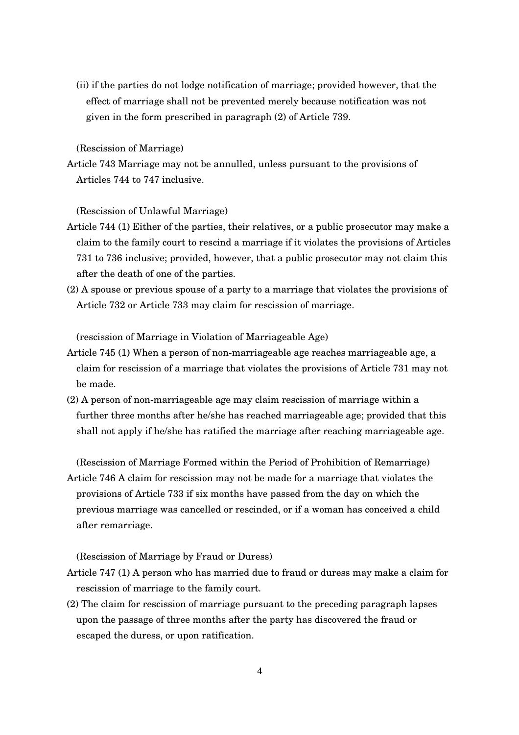(ii) if the parties do not lodge notification of marriage; provided however, that the effect of marriage shall not be prevented merely because notification was not given in the form prescribed in paragraph (2) of Article 739.

(Rescission of Marriage)

Article 743 Marriage may not be annulled, unless pursuant to the provisions of Articles 744 to 747 inclusive.

(Rescission of Unlawful Marriage)

- Article 744 (1) Either of the parties, their relatives, or a public prosecutor may make a claim to the family court to rescind a marriage if it violates the provisions of Articles 731 to 736 inclusive; provided, however, that a public prosecutor may not claim this after the death of one of the parties.
- (2) A spouse or previous spouse of a party to a marriage that violates the provisions of Article 732 or Article 733 may claim for rescission of marriage.

(rescission of Marriage in Violation of Marriageable Age)

- Article 745 (1) When a person of non-marriageable age reaches marriageable age, a claim for rescission of a marriage that violates the provisions of Article 731 may not be made.
- $(2)$  A person of non-marriageable age may claim rescission of marriage within a further three months after he/she has reached marriageable age; provided that this shall not apply if he/she has ratified the marriage after reaching marriageable age.

(Rescission of Marriage Formed within the Period of Prohibition of Remarriage) Article 746 A claim for rescission may not be made for a marriage that violates the provisions of Article 733 if six months have passed from the day on which the previous marriage was cancelled or rescinded, or if a woman has conceived a child after remarriage.

(Rescission of Marriage by Fraud or Duress)

- Article 747 (1) A person who has married due to fraud or duress may make a claim for rescission of marriage to the family court.
- (2) The claim for rescission of marriage pursuant to the preceding paragraph lapses upon the passage of three months after the party has discovered the fraud or escaped the duress, or upon ratification.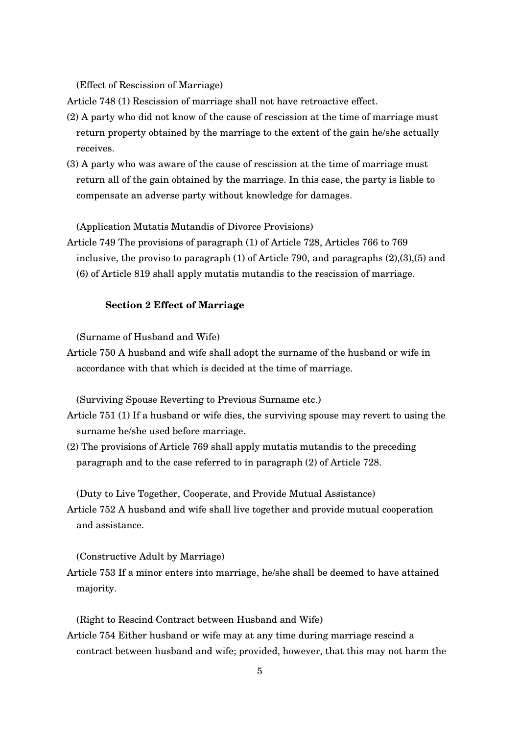(Effect of Rescission of Marriage)

Article 748 (1) Rescission of marriage shall not have retroactive effect.

- (2) A party who did not know of the cause of rescission at the time of marriage must return property obtained by the marriage to the extent of the gain he/she actually receives.
- (3) A party who was aware of the cause of rescission at the time of marriage must return all of the gain obtained by the marriage. In this case, the party is liable to compensate an adverse party without knowledge for damages.

(Application Mutatis Mutandis of Divorce Provisions)

Article 749 The provisions of paragraph (1) of Article 728, Articles 766 to 769 inclusive, the proviso to paragraph (1) of Article 790, and paragraphs (2),(3),(5) and (6) of Article 819 shall apply mutatis mutandis to the rescission of marriage.

## **Section 2 Effect of Marriage**

(Surname of Husband and Wife)

Article 750 A husband and wife shall adopt the surname of the husband or wife in accordance with that which is decided at the time of marriage.

(Surviving Spouse Reverting to Previous Surname etc.)

- Article 751 (1) If a husband or wife dies, the surviving spouse may revert to using the surname he/she used before marriage.
- (2) The provisions of Article 769 shall apply mutatis mutandis to the preceding paragraph and to the case referred to in paragraph (2) of Article 728.

(Duty to Live Together, Cooperate, and Provide Mutual Assistance) Article 752 A husband and wife shall live together and provide mutual cooperation and assistance.

(Constructive Adult by Marriage)

Article 753 If a minor enters into marriage, he/she shall be deemed to have attained majority.

(Right to Rescind Contract between Husband and Wife) Article 754 Either husband or wife may at any time during marriage rescind a contract between husband and wife; provided, however, that this may not harm the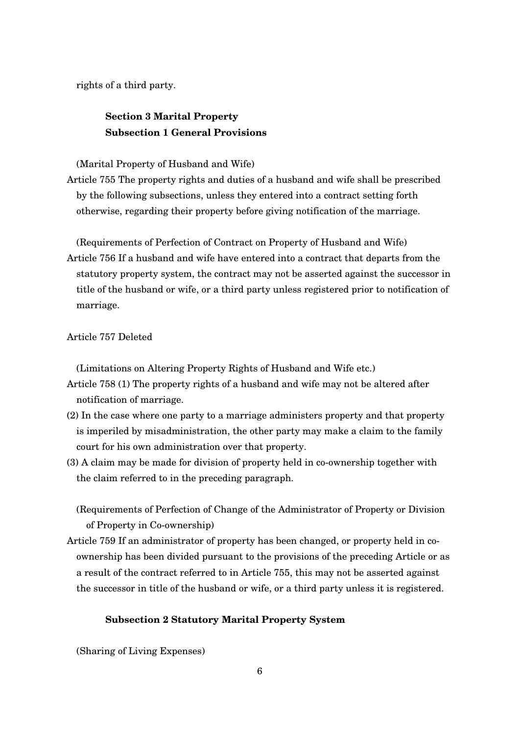rights of a third party.

## **Section 3 Marital Property Subsection 1 General Provisions**

(Marital Property of Husband and Wife)

Article 755 The property rights and duties of a husband and wife shall be prescribed by the following subsections, unless they entered into a contract setting forth otherwise, regarding their property before giving notification of the marriage.

(Requirements of Perfection of Contract on Property of Husband and Wife) Article 756 If a husband and wife have entered into a contract that departs from the statutory property system, the contract may not be asserted against the successor in title of the husband or wife, or a third party unless registered prior to notification of marriage.

Article 757 Deleted

(Limitations on Altering Property Rights of Husband and Wife etc.)

- Article 758 (1) The property rights of a husband and wife may not be altered after notification of marriage.
- (2) In the case where one party to a marriage administers property and that property is imperiled by misadministration, the other party may make a claim to the family court for his own administration over that property.
- $(3)$  A claim may be made for division of property held in co-ownership together with the claim referred to in the preceding paragraph.

(Requirements of Perfection of Change of the Administrator of Property or Division of Property in Co-ownership)

Article 759 If an administrator of property has been changed, or property held in coownership has been divided pursuant to the provisions of the preceding Article or as a result of the contract referred to in Article 755, this may not be asserted against the successor in title of the husband or wife, or a third party unless it is registered.

#### **Subsection 2 Statutory Marital Property System**

(Sharing of Living Expenses)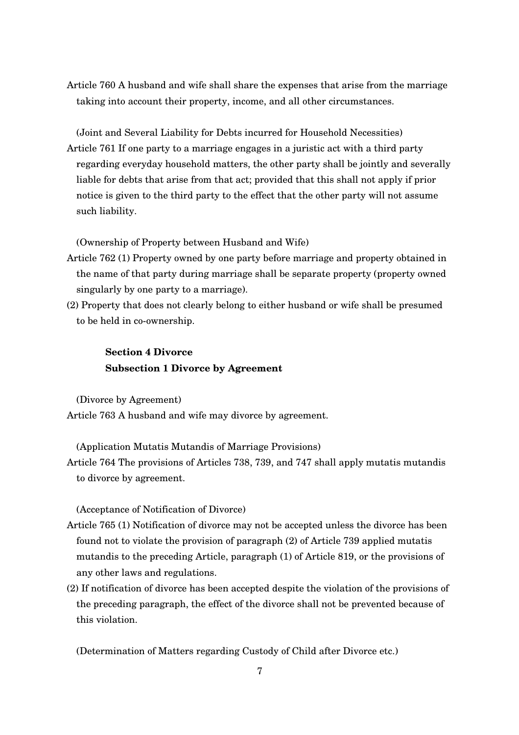Article 760 A husband and wife shall share the expenses that arise from the marriage taking into account their property, income, and all other circumstances.

(Joint and Several Liability for Debts incurred for Household Necessities) Article 761 If one party to a marriage engages in a juristic act with a third party regarding everyday household matters, the other party shall be jointly and severally liable for debts that arise from that act; provided that this shall not apply if prior notice is given to the third party to the effect that the other party will not assume such liability.

(Ownership of Property between Husband and Wife)

- Article 762 (1) Property owned by one party before marriage and property obtained in the name of that party during marriage shall be separate property (property owned singularly by one party to a marriage).
- (2) Property that does not clearly belong to either husband or wife shall be presumed to be held in co-ownership.

# **Section 4 Divorce Subsection 1 Divorce by Agreement**

(Divorce by Agreement) Article 763 A husband and wife may divorce by agreement.

(Application Mutatis Mutandis of Marriage Provisions)

Article 764 The provisions of Articles 738, 739, and 747 shall apply mutatis mutandis to divorce by agreement.

(Acceptance of Notification of Divorce)

- Article 765 (1) Notification of divorce may not be accepted unless the divorce has been found not to violate the provision of paragraph (2) of Article 739 applied mutatis mutandis to the preceding Article, paragraph (1) of Article 819, or the provisions of any other laws and regulations.
- (2) If notification of divorce has been accepted despite the violation of the provisions of the preceding paragraph, the effect of the divorce shall not be prevented because of this violation.

(Determination of Matters regarding Custody of Child after Divorce etc.)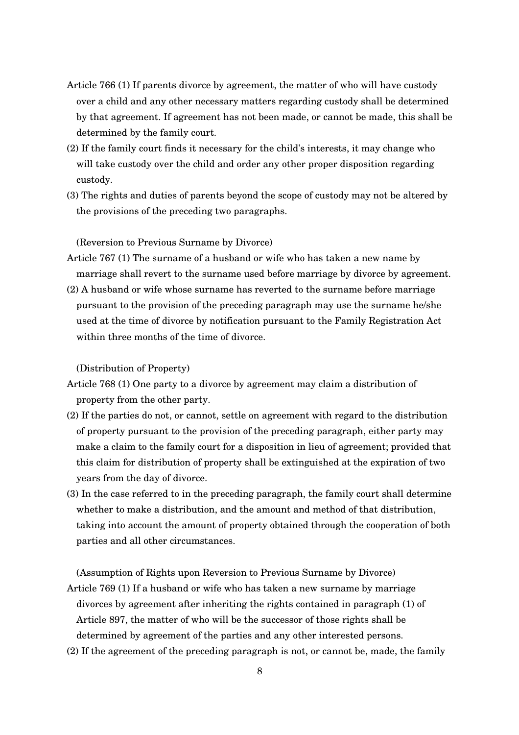- Article 766 (1) If parents divorce by agreement, the matter of who will have custody over a child and any other necessary matters regarding custody shall be determined by that agreement. If agreement has not been made, or cannot be made, this shall be determined by the family court.
- (2) If the family court finds it necessary for the child's interests, it may change who will take custody over the child and order any other proper disposition regarding custody.
- (3) The rights and duties of parents beyond the scope of custody may not be altered by the provisions of the preceding two paragraphs.

(Reversion to Previous Surname by Divorce)

- Article 767 (1) The surname of a husband or wife who has taken a new name by marriage shall revert to the surname used before marriage by divorce by agreement.
- (2) A husband or wife whose surname has reverted to the surname before marriage pursuant to the provision of the preceding paragraph may use the surname he/she used at the time of divorce by notification pursuant to the Family Registration Act within three months of the time of divorce.

(Distribution of Property)

- Article 768 (1) One party to a divorce by agreement may claim a distribution of property from the other party.
- (2) If the parties do not, or cannot, settle on agreement with regard to the distribution of property pursuant to the provision of the preceding paragraph, either party may make a claim to the family court for a disposition in lieu of agreement; provided that this claim for distribution of property shall be extinguished at the expiration of two years from the day of divorce.
- (3) In the case referred to in the preceding paragraph, the family court shall determine whether to make a distribution, and the amount and method of that distribution, taking into account the amount of property obtained through the cooperation of both parties and all other circumstances.

(Assumption of Rights upon Reversion to Previous Surname by Divorce) Article 769 (1) If a husband or wife who has taken a new surname by marriage divorces by agreement after inheriting the rights contained in paragraph (1) of Article 897, the matter of who will be the successor of those rights shall be determined by agreement of the parties and any other interested persons.

(2) If the agreement of the preceding paragraph is not, or cannot be, made, the family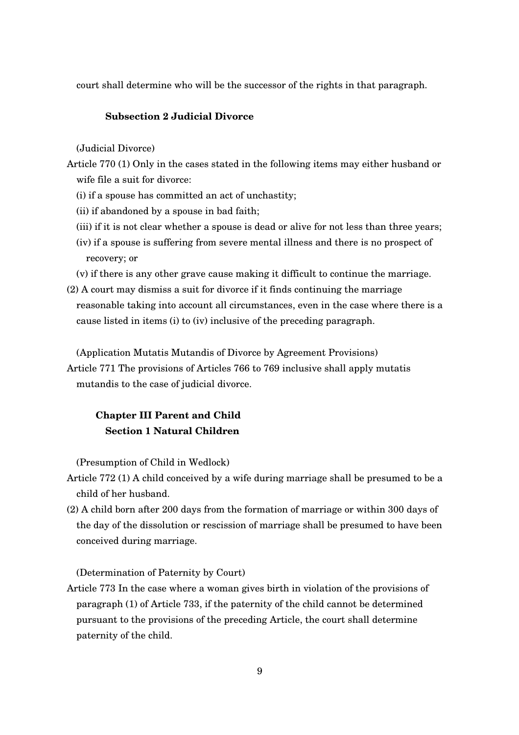court shall determine who will be the successor of the rights in that paragraph.

## **Subsection 2 Judicial Divorce**

(Judicial Divorce)

- Article 770 (1) Only in the cases stated in the following items may either husband or wife file a suit for divorce:
	- (i) if a spouse has committed an act of unchastity;
	- (ii) if abandoned by a spouse in bad faith;
	- (iii) if it is not clear whether a spouse is dead or alive for not less than three years;
	- (iv) if a spouse is suffering from severe mental illness and there is no prospect of recovery; or
	- (v) if there is any other grave cause making it difficult to continue the marriage.
- (2) A court may dismiss a suit for divorce if it finds continuing the marriage reasonable taking into account all circumstances, even in the case where there is a cause listed in items (i) to (iv) inclusive of the preceding paragraph.

(Application Mutatis Mutandis of Divorce by Agreement Provisions)

Article 771 The provisions of Articles 766 to 769 inclusive shall apply mutatis mutandis to the case of judicial divorce.

# **Chapter III Parent and Child Section 1 Natural Children**

(Presumption of Child in Wedlock)

- Article 772 (1) A child conceived by a wife during marriage shall be presumed to be a child of her husband.
- (2) A child born after 200 days from the formation of marriage or within 300 days of the day of the dissolution or rescission of marriage shall be presumed to have been conceived during marriage.

(Determination of Paternity by Court)

Article 773 In the case where a woman gives birth in violation of the provisions of paragraph (1) of Article 733, if the paternity of the child cannot be determined pursuant to the provisions of the preceding Article, the court shall determine paternity of the child.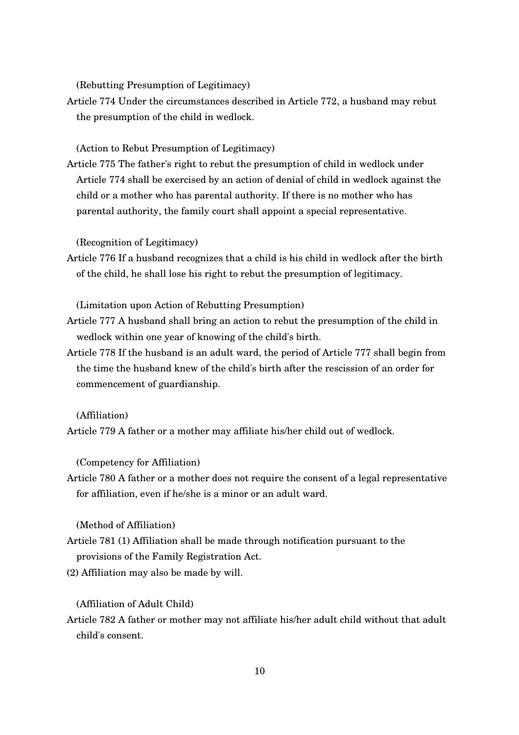(Rebutting Presumption of Legitimacy)

Article 774 Under the circumstances described in Article 772, a husband may rebut the presumption of the child in wedlock.

(Action to Rebut Presumption of Legitimacy)

Article 775 The father's right to rebut the presumption of child in wedlock under Article 774 shall be exercised by an action of denial of child in wedlock against the child or a mother who has parental authority. If there is no mother who has parental authority, the family court shall appoint a special representative.

(Recognition of Legitimacy)

Article 776 If a husband recognizes that a child is his child in wedlock after the birth of the child, he shall lose his right to rebut the presumption of legitimacy.

(Limitation upon Action of Rebutting Presumption)

- Article 777 A husband shall bring an action to rebut the presumption of the child in wedlock within one year of knowing of the child's birth.
- Article 778 If the husband is an adult ward, the period of Article 777 shall begin from the time the husband knew of the child's birth after the rescission of an order for commencement of guardianship.

(Affiliation)

Article 779 A father or a mother may affiliate his/her child out of wedlock.

(Competency for Affiliation)

Article 780 A father or a mother does not require the consent of a legal representative for affiliation, even if he/she is a minor or an adult ward.

(Method of Affiliation)

- Article 781 (1) Affiliation shall be made through notification pursuant to the provisions of the Family Registration Act.
- (2) Affiliation may also be made by will.

(Affiliation of Adult Child)

Article 782 A father or mother may not affiliate his/her adult child without that adult child's consent.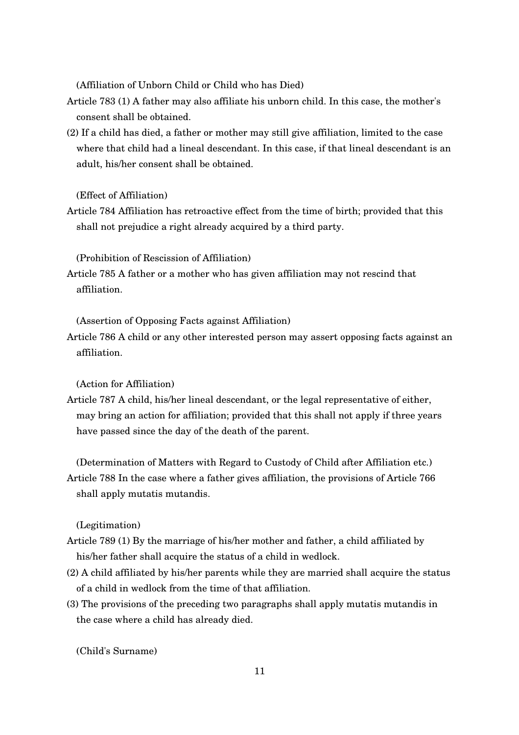(Affiliation of Unborn Child or Child who has Died)

- Article 783 (1) A father may also affiliate his unborn child. In this case, the mother's consent shall be obtained.
- (2) If a child has died, a father or mother may still give affiliation, limited to the case where that child had a lineal descendant. In this case, if that lineal descendant is an adult, his/her consent shall be obtained.

(Effect of Affiliation)

Article 784 Affiliation has retroactive effect from the time of birth; provided that this shall not prejudice a right already acquired by a third party.

(Prohibition of Rescission of Affiliation)

Article 785 A father or a mother who has given affiliation may not rescind that affiliation.

(Assertion of Opposing Facts against Affiliation)

Article 786 A child or any other interested person may assert opposing facts against an affiliation.

(Action for Affiliation)

Article 787 A child, his/her lineal descendant, or the legal representative of either, may bring an action for affiliation; provided that this shall not apply if three years have passed since the day of the death of the parent.

(Determination of Matters with Regard to Custody of Child after Affiliation etc.) Article 788 In the case where a father gives affiliation, the provisions of Article 766 shall apply mutatis mutandis.

(Legitimation)

- Article 789 (1) By the marriage of his/her mother and father, a child affiliated by his/her father shall acquire the status of a child in wedlock.
- (2) A child affiliated by his/her parents while they are married shall acquire the status of a child in wedlock from the time of that affiliation.
- (3) The provisions of the preceding two paragraphs shall apply mutatis mutandis in the case where a child has already died.

(Child's Surname)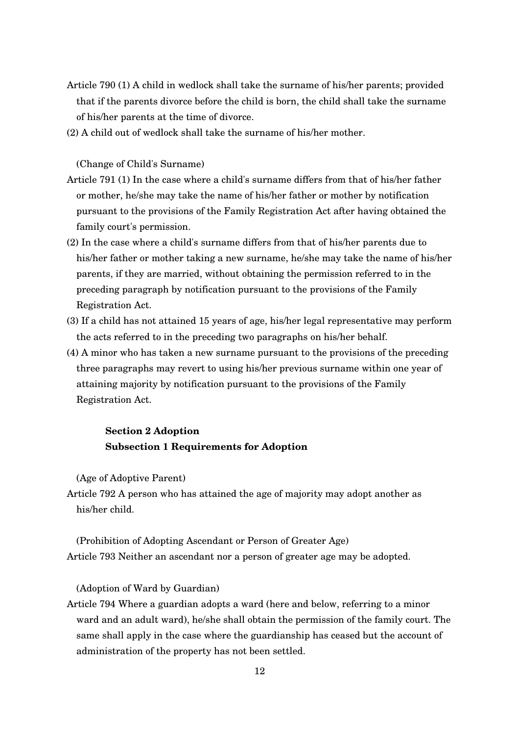- Article 790 (1) A child in wedlock shall take the surname of his/her parents; provided that if the parents divorce before the child is born, the child shall take the surname of his/her parents at the time of divorce.
- (2) A child out of wedlock shall take the surname of his/her mother.

#### (Change of Child's Surname)

- Article 791 (1) In the case where a child's surname differs from that of his/her father or mother, he/she may take the name of his/her father or mother by notification pursuant to the provisions of the Family Registration Act after having obtained the family court's permission.
- (2) In the case where a child's surname differs from that of his/her parents due to his/her father or mother taking a new surname, he/she may take the name of his/her parents, if they are married, without obtaining the permission referred to in the preceding paragraph by notification pursuant to the provisions of the Family Registration Act.
- (3) If a child has not attained 15 years of age, his/her legal representative may perform the acts referred to in the preceding two paragraphs on his/her behalf.
- (4) A minor who has taken a new surname pursuant to the provisions of the preceding three paragraphs may revert to using his/her previous surname within one year of attaining majority by notification pursuant to the provisions of the Family Registration Act.

# **Section 2 Adoption Subsection 1 Requirements for Adoption**

(Age of Adoptive Parent)

Article 792 A person who has attained the age of majority may adopt another as his/her child.

(Prohibition of Adopting Ascendant or Person of Greater Age) Article 793 Neither an ascendant nor a person of greater age may be adopted.

## (Adoption of Ward by Guardian)

Article 794 Where a guardian adopts a ward (here and below, referring to a minor ward and an adult ward), he/she shall obtain the permission of the family court. The same shall apply in the case where the guardianship has ceased but the account of administration of the property has not been settled.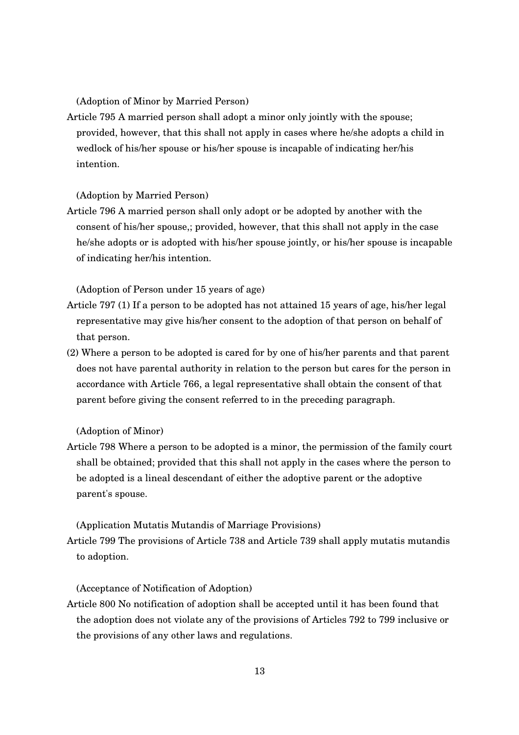(Adoption of Minor by Married Person)

Article 795 A married person shall adopt a minor only jointly with the spouse; provided, however, that this shall not apply in cases where he/she adopts a child in wedlock of his/her spouse or his/her spouse is incapable of indicating her/his intention.

(Adoption by Married Person)

Article 796 A married person shall only adopt or be adopted by another with the consent of his/her spouse,; provided, however, that this shall not apply in the case he/she adopts or is adopted with his/her spouse jointly, or his/her spouse is incapable of indicating her/his intention.

(Adoption of Person under 15 years of age)

- Article 797 (1) If a person to be adopted has not attained 15 years of age, his/her legal representative may give his/her consent to the adoption of that person on behalf of that person.
- (2) Where a person to be adopted is cared for by one of his/her parents and that parent does not have parental authority in relation to the person but cares for the person in accordance with Article 766, a legal representative shall obtain the consent of that parent before giving the consent referred to in the preceding paragraph.

(Adoption of Minor)

Article 798 Where a person to be adopted is a minor, the permission of the family court shall be obtained; provided that this shall not apply in the cases where the person to be adopted is a lineal descendant of either the adoptive parent or the adoptive parent's spouse.

(Application Mutatis Mutandis of Marriage Provisions)

Article 799 The provisions of Article 738 and Article 739 shall apply mutatis mutandis to adoption.

(Acceptance of Notification of Adoption)

Article 800 No notification of adoption shall be accepted until it has been found that the adoption does not violate any of the provisions of Articles 792 to 799 inclusive or the provisions of any other laws and regulations.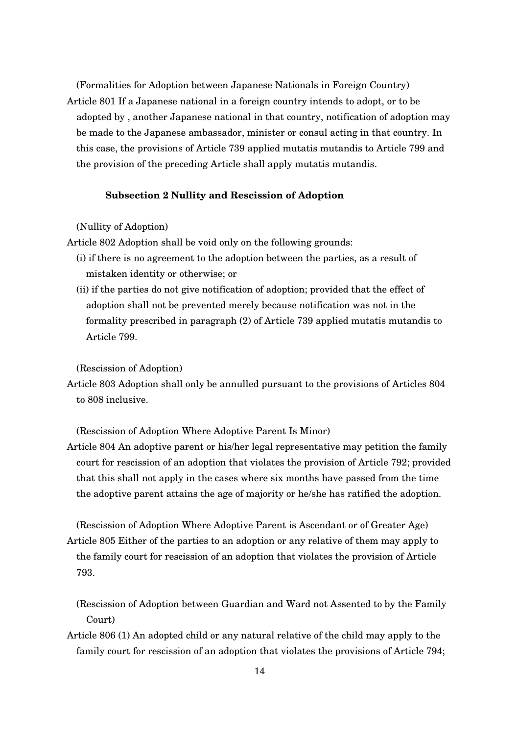(Formalities for Adoption between Japanese Nationals in Foreign Country) Article 801 If a Japanese national in a foreign country intends to adopt, or to be adopted by , another Japanese national in that country, notification of adoption may be made to the Japanese ambassador, minister or consul acting in that country. In this case, the provisions of Article 739 applied mutatis mutandis to Article 799 and the provision of the preceding Article shall apply mutatis mutandis.

## **Subsection 2 Nullity and Rescission of Adoption**

(Nullity of Adoption)

Article 802 Adoption shall be void only on the following grounds:

- (i) if there is no agreement to the adoption between the parties, as a result of mistaken identity or otherwise; or
- (ii) if the parties do not give notification of adoption; provided that the effect of adoption shall not be prevented merely because notification was not in the formality prescribed in paragraph (2) of Article 739 applied mutatis mutandis to Article 799.

(Rescission of Adoption)

Article 803 Adoption shall only be annulled pursuant to the provisions of Articles 804 to 808 inclusive.

(Rescission of Adoption Where Adoptive Parent Is Minor)

Article 804 An adoptive parent or his/her legal representative may petition the family court for rescission of an adoption that violates the provision of Article 792; provided that this shall not apply in the cases where six months have passed from the time the adoptive parent attains the age of majority or he/she has ratified the adoption.

(Rescission of Adoption Where Adoptive Parent is Ascendant or of Greater Age) Article 805 Either of the parties to an adoption or any relative of them may apply to the family court for rescission of an adoption that violates the provision of Article 793.

(Rescission of Adoption between Guardian and Ward not Assented to by the Family Court)

Article 806 (1) An adopted child or any natural relative of the child may apply to the family court for rescission of an adoption that violates the provisions of Article 794;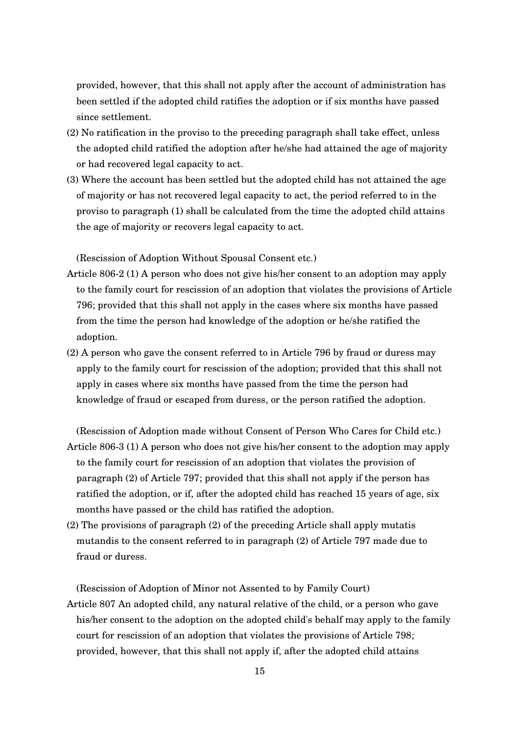provided, however, that this shall not apply after the account of administration has been settled if the adopted child ratifies the adoption or if six months have passed since settlement.

- (2) No ratification in the proviso to the preceding paragraph shall take effect, unless the adopted child ratified the adoption after he/she had attained the age of majority or had recovered legal capacity to act.
- (3) Where the account has been settled but the adopted child has not attained the age of majority or has not recovered legal capacity to act, the period referred to in the proviso to paragraph (1) shall be calculated from the time the adopted child attains the age of majority or recovers legal capacity to act.

(Rescission of Adoption Without Spousal Consent etc.)

- Article 8062 (1) A person who does not give his/her consent to an adoption may apply to the family court for rescission of an adoption that violates the provisions of Article 796; provided that this shall not apply in the cases where six months have passed from the time the person had knowledge of the adoption or he/she ratified the adoption.
- (2) A person who gave the consent referred to in Article 796 by fraud or duress may apply to the family court for rescission of the adoption; provided that this shall not apply in cases where six months have passed from the time the person had knowledge of fraud or escaped from duress, or the person ratified the adoption.

(Rescission of Adoption made without Consent of Person Who Cares for Child etc.)

- Article 8063 (1) A person who does not give his/her consent to the adoption may apply to the family court for rescission of an adoption that violates the provision of paragraph (2) of Article 797; provided that this shall not apply if the person has ratified the adoption, or if, after the adopted child has reached 15 years of age, six months have passed or the child has ratified the adoption.
- (2) The provisions of paragraph (2) of the preceding Article shall apply mutatis mutandis to the consent referred to in paragraph (2) of Article 797 made due to fraud or duress.

(Rescission of Adoption of Minor not Assented to by Family Court)

Article 807 An adopted child, any natural relative of the child, or a person who gave his/her consent to the adoption on the adopted child's behalf may apply to the family court for rescission of an adoption that violates the provisions of Article 798; provided, however, that this shall not apply if, after the adopted child attains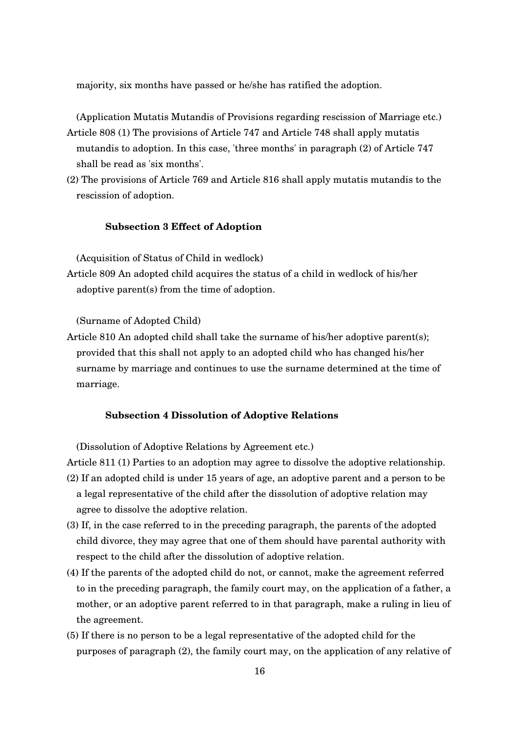majority, six months have passed or he/she has ratified the adoption.

(Application Mutatis Mutandis of Provisions regarding rescission of Marriage etc.) Article 808 (1) The provisions of Article 747 and Article 748 shall apply mutatis

- mutandis to adoption. In this case, 'three months' in paragraph (2) of Article 747 shall be read as 'six months'.
- (2) The provisions of Article 769 and Article 816 shall apply mutatis mutandis to the rescission of adoption.

## **Subsection 3 Effect of Adoption**

(Acquisition of Status of Child in wedlock)

Article 809 An adopted child acquires the status of a child in wedlock of his/her adoptive parent(s) from the time of adoption.

(Surname of Adopted Child)

Article 810 An adopted child shall take the surname of his/her adoptive parent(s); provided that this shall not apply to an adopted child who has changed his/her surname by marriage and continues to use the surname determined at the time of marriage.

## **Subsection 4 Dissolution of Adoptive Relations**

(Dissolution of Adoptive Relations by Agreement etc.)

- Article 811 (1) Parties to an adoption may agree to dissolve the adoptive relationship. (2) If an adopted child is under 15 years of age, an adoptive parent and a person to be a legal representative of the child after the dissolution of adoptive relation may agree to dissolve the adoptive relation.
- (3) If, in the case referred to in the preceding paragraph, the parents of the adopted child divorce, they may agree that one of them should have parental authority with respect to the child after the dissolution of adoptive relation.
- (4) If the parents of the adopted child do not, or cannot, make the agreement referred to in the preceding paragraph, the family court may, on the application of a father, a mother, or an adoptive parent referred to in that paragraph, make a ruling in lieu of the agreement.
- (5) If there is no person to be a legal representative of the adopted child for the purposes of paragraph (2), the family court may, on the application of any relative of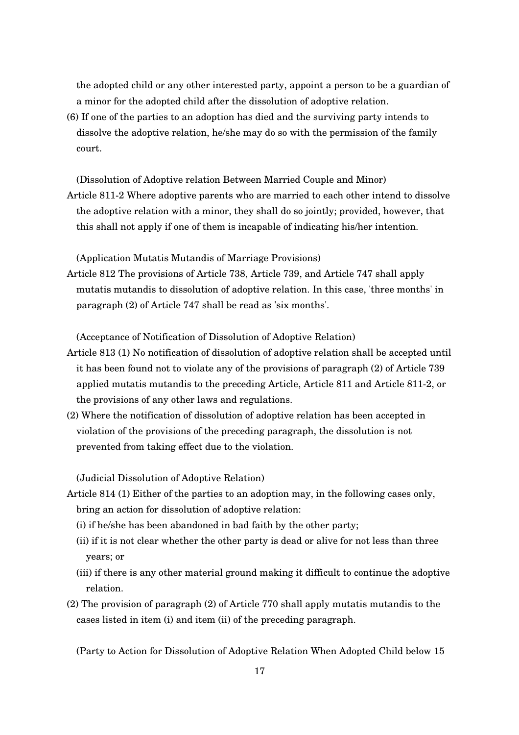the adopted child or any other interested party, appoint a person to be a guardian of a minor for the adopted child after the dissolution of adoptive relation.

(6) If one of the parties to an adoption has died and the surviving party intends to dissolve the adoptive relation, he/she may do so with the permission of the family court.

(Dissolution of Adoptive relation Between Married Couple and Minor) Article 8112 Where adoptive parents who are married to each other intend to dissolve the adoptive relation with a minor, they shall do so jointly; provided, however, that this shall not apply if one of them is incapable of indicating his/her intention.

(Application Mutatis Mutandis of Marriage Provisions)

Article 812 The provisions of Article 738, Article 739, and Article 747 shall apply mutatis mutandis to dissolution of adoptive relation. In this case, 'three months' in paragraph (2) of Article 747 shall be read as 'six months'.

(Acceptance of Notification of Dissolution of Adoptive Relation)

- Article 813 (1) No notification of dissolution of adoptive relation shall be accepted until it has been found not to violate any of the provisions of paragraph (2) of Article 739 applied mutatis mutandis to the preceding Article, Article 811 and Article 8112, or the provisions of any other laws and regulations.
- (2) Where the notification of dissolution of adoptive relation has been accepted in violation of the provisions of the preceding paragraph, the dissolution is not prevented from taking effect due to the violation.

(Judicial Dissolution of Adoptive Relation)

- Article 814 (1) Either of the parties to an adoption may, in the following cases only, bring an action for dissolution of adoptive relation:
	- (i) if he/she has been abandoned in bad faith by the other party;
	- (ii) if it is not clear whether the other party is dead or alive for not less than three years; or
	- (iii) if there is any other material ground making it difficult to continue the adoptive relation.
- (2) The provision of paragraph (2) of Article 770 shall apply mutatis mutandis to the cases listed in item (i) and item (ii) of the preceding paragraph.

(Party to Action for Dissolution of Adoptive Relation When Adopted Child below 15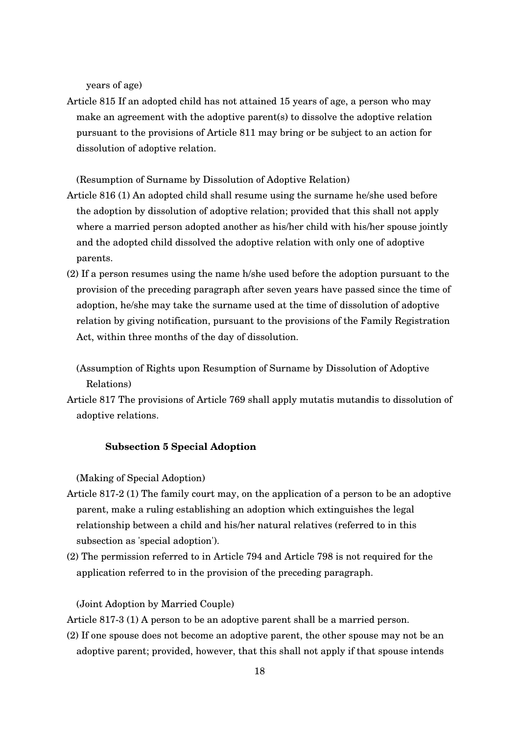years of age)

Article 815 If an adopted child has not attained 15 years of age, a person who may make an agreement with the adoptive parent(s) to dissolve the adoptive relation pursuant to the provisions of Article 811 may bring or be subject to an action for dissolution of adoptive relation.

(Resumption of Surname by Dissolution of Adoptive Relation)

- Article 816 (1) An adopted child shall resume using the surname he/she used before the adoption by dissolution of adoptive relation; provided that this shall not apply where a married person adopted another as his/her child with his/her spouse jointly and the adopted child dissolved the adoptive relation with only one of adoptive parents.
- (2) If a person resumes using the name h/she used before the adoption pursuant to the provision of the preceding paragraph after seven years have passed since the time of adoption, he/she may take the surname used at the time of dissolution of adoptive relation by giving notification, pursuant to the provisions of the Family Registration Act, within three months of the day of dissolution.
	- (Assumption of Rights upon Resumption of Surname by Dissolution of Adoptive Relations)
- Article 817 The provisions of Article 769 shall apply mutatis mutandis to dissolution of adoptive relations.

## **Subsection 5 Special Adoption**

(Making of Special Adoption)

- Article 8172 (1) The family court may, on the application of a person to be an adoptive parent, make a ruling establishing an adoption which extinguishes the legal relationship between a child and his/her natural relatives (referred to in this subsection as 'special adoption').
- (2) The permission referred to in Article 794 and Article 798 is not required for the application referred to in the provision of the preceding paragraph.

#### (Joint Adoption by Married Couple)

Article 8173 (1) A person to be an adoptive parent shall be a married person.

(2) If one spouse does not become an adoptive parent, the other spouse may not be an adoptive parent; provided, however, that this shall not apply if that spouse intends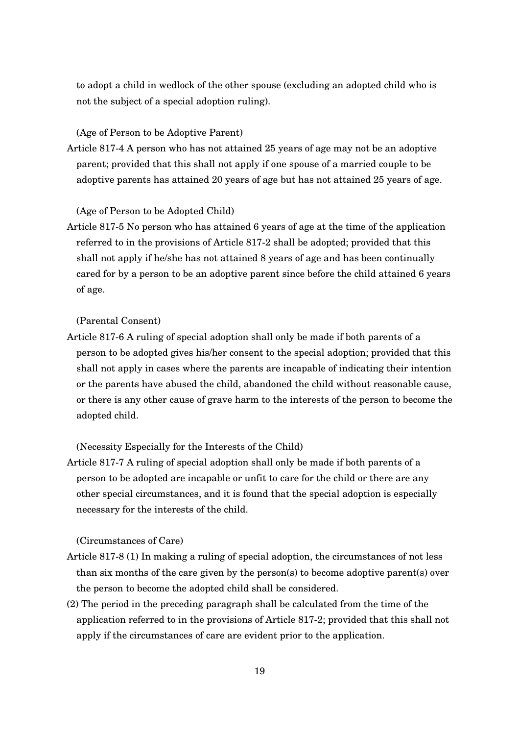to adopt a child in wedlock of the other spouse (excluding an adopted child who is not the subject of a special adoption ruling).

(Age of Person to be Adoptive Parent)

Article 8174 A person who has not attained 25 years of age may not be an adoptive parent; provided that this shall not apply if one spouse of a married couple to be adoptive parents has attained 20 years of age but has not attained 25 years of age.

(Age of Person to be Adopted Child)

Article 817-5 No person who has attained 6 years of age at the time of the application referred to in the provisions of Article 817-2 shall be adopted; provided that this shall not apply if he/she has not attained 8 years of age and has been continually cared for by a person to be an adoptive parent since before the child attained 6 years of age.

(Parental Consent)

Article 817-6 A ruling of special adoption shall only be made if both parents of a person to be adopted gives his/her consent to the special adoption; provided that this shall not apply in cases where the parents are incapable of indicating their intention or the parents have abused the child, abandoned the child without reasonable cause, or there is any other cause of grave harm to the interests of the person to become the adopted child.

(Necessity Especially for the Interests of the Child)

Article 817-7 A ruling of special adoption shall only be made if both parents of a person to be adopted are incapable or unfit to care for the child or there are any other special circumstances, and it is found that the special adoption is especially necessary for the interests of the child.

(Circumstances of Care)

- Article 817-8 (1) In making a ruling of special adoption, the circumstances of not less than six months of the care given by the person(s) to become adoptive parent(s) over the person to become the adopted child shall be considered.
- (2) The period in the preceding paragraph shall be calculated from the time of the application referred to in the provisions of Article 8172; provided that this shall not apply if the circumstances of care are evident prior to the application.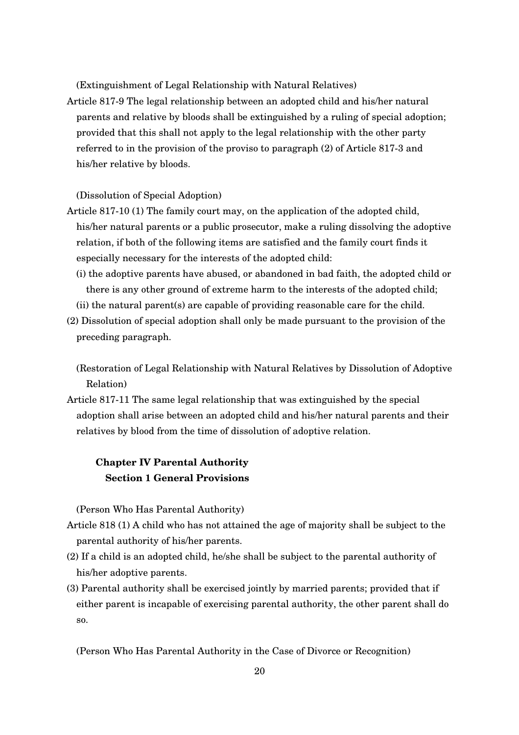(Extinguishment of Legal Relationship with Natural Relatives)

Article 8179 The legal relationship between an adopted child and his/her natural parents and relative by bloods shall be extinguished by a ruling of special adoption; provided that this shall not apply to the legal relationship with the other party referred to in the provision of the proviso to paragraph (2) of Article 8173 and his/her relative by bloods.

## (Dissolution of Special Adoption)

- Article 817-10 (1) The family court may, on the application of the adopted child, his/her natural parents or a public prosecutor, make a ruling dissolving the adoptive relation, if both of the following items are satisfied and the family court finds it especially necessary for the interests of the adopted child:
	- (i) the adoptive parents have abused, or abandoned in bad faith, the adopted child or there is any other ground of extreme harm to the interests of the adopted child;

(ii) the natural parent(s) are capable of providing reasonable care for the child.

(2) Dissolution of special adoption shall only be made pursuant to the provision of the preceding paragraph.

(Restoration of Legal Relationship with Natural Relatives by Dissolution of Adoptive Relation)

Article 817-11 The same legal relationship that was extinguished by the special adoption shall arise between an adopted child and his/her natural parents and their relatives by blood from the time of dissolution of adoptive relation.

# **Chapter IV Parental Authority Section 1 General Provisions**

(Person Who Has Parental Authority)

- Article 818 (1) A child who has not attained the age of majority shall be subject to the parental authority of his/her parents.
- (2) If a child is an adopted child, he/she shall be subject to the parental authority of his/her adoptive parents.
- (3) Parental authority shall be exercised jointly by married parents; provided that if either parent is incapable of exercising parental authority, the other parent shall do so.

(Person Who Has Parental Authority in the Case of Divorce or Recognition)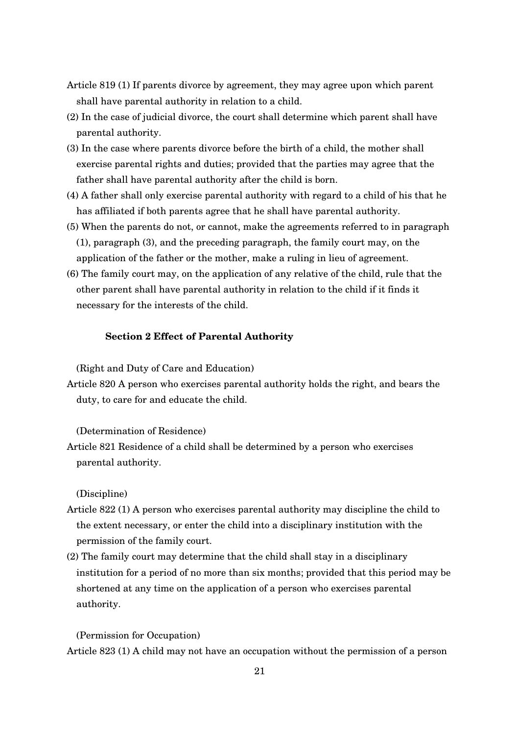- Article 819 (1) If parents divorce by agreement, they may agree upon which parent shall have parental authority in relation to a child.
- (2) In the case of judicial divorce, the court shall determine which parent shall have parental authority.
- (3) In the case where parents divorce before the birth of a child, the mother shall exercise parental rights and duties; provided that the parties may agree that the father shall have parental authority after the child is born.
- (4) A father shall only exercise parental authority with regard to a child of his that he has affiliated if both parents agree that he shall have parental authority.
- (5) When the parents do not, or cannot, make the agreements referred to in paragraph (1), paragraph (3), and the preceding paragraph, the family court may, on the
	- application of the father or the mother, make a ruling in lieu of agreement.
- (6) The family court may, on the application of any relative of the child, rule that the other parent shall have parental authority in relation to the child if it finds it necessary for the interests of the child.

#### **Section 2 Effect of Parental Authority**

(Right and Duty of Care and Education)

Article 820 A person who exercises parental authority holds the right, and bears the duty, to care for and educate the child.

(Determination of Residence)

Article 821 Residence of a child shall be determined by a person who exercises parental authority.

(Discipline)

- Article 822 (1) A person who exercises parental authority may discipline the child to the extent necessary, or enter the child into a disciplinary institution with the permission of the family court.
- (2) The family court may determine that the child shall stay in a disciplinary institution for a period of no more than six months; provided that this period may be shortened at any time on the application of a person who exercises parental authority.

(Permission for Occupation)

Article 823 (1) A child may not have an occupation without the permission of a person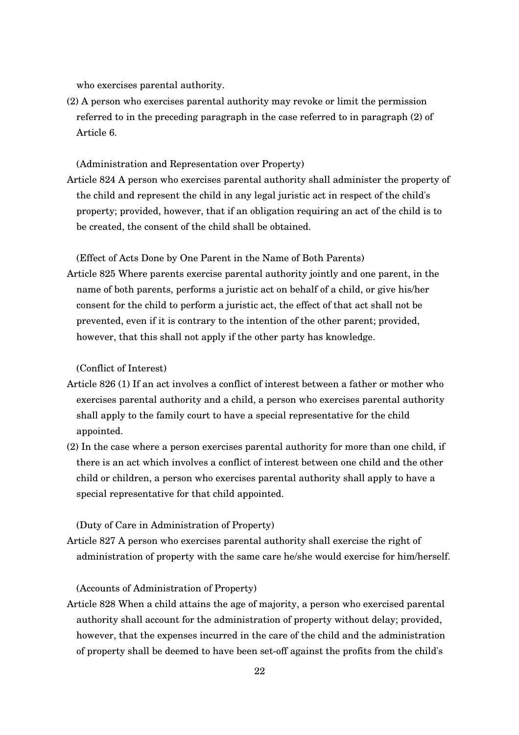who exercises parental authority.

(2) A person who exercises parental authority may revoke or limit the permission referred to in the preceding paragraph in the case referred to in paragraph (2) of Article 6.

(Administration and Representation over Property)

Article 824 A person who exercises parental authority shall administer the property of the child and represent the child in any legal juristic act in respect of the child's property; provided, however, that if an obligation requiring an act of the child is to be created, the consent of the child shall be obtained.

(Effect of Acts Done by One Parent in the Name of Both Parents)

Article 825 Where parents exercise parental authority jointly and one parent, in the name of both parents, performs a juristic act on behalf of a child, or give his/her consent for the child to perform a juristic act, the effect of that act shall not be prevented, even if it is contrary to the intention of the other parent; provided, however, that this shall not apply if the other party has knowledge.

(Conflict of Interest)

- Article 826 (1) If an act involves a conflict of interest between a father or mother who exercises parental authority and a child, a person who exercises parental authority shall apply to the family court to have a special representative for the child appointed.
- (2) In the case where a person exercises parental authority for more than one child, if there is an act which involves a conflict of interest between one child and the other child or children, a person who exercises parental authority shall apply to have a special representative for that child appointed.

(Duty of Care in Administration of Property)

Article 827 A person who exercises parental authority shall exercise the right of administration of property with the same care he/she would exercise for him/herself.

(Accounts of Administration of Property)

Article 828 When a child attains the age of majority, a person who exercised parental authority shall account for the administration of property without delay; provided, however, that the expenses incurred in the care of the child and the administration of property shall be deemed to have been setoff against the profits from the child's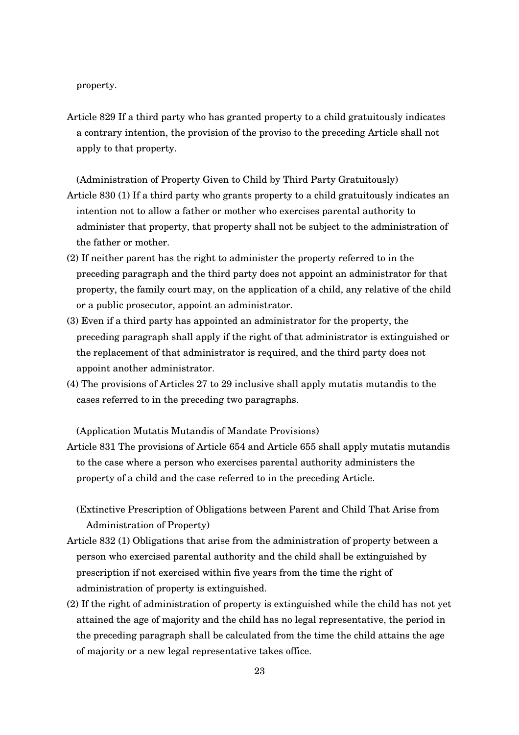property.

Article 829 If a third party who has granted property to a child gratuitously indicates a contrary intention, the provision of the proviso to the preceding Article shall not apply to that property.

(Administration of Property Given to Child by Third Party Gratuitously)

- Article 830 (1) If a third party who grants property to a child gratuitously indicates an intention not to allow a father or mother who exercises parental authority to administer that property, that property shall not be subject to the administration of the father or mother.
- (2) If neither parent has the right to administer the property referred to in the preceding paragraph and the third party does not appoint an administrator for that property, the family court may, on the application of a child, any relative of the child or a public prosecutor, appoint an administrator.
- (3) Even if a third party has appointed an administrator for the property, the preceding paragraph shall apply if the right of that administrator is extinguished or the replacement of that administrator is required, and the third party does not appoint another administrator.
- (4) The provisions of Articles 27 to 29 inclusive shall apply mutatis mutandis to the cases referred to in the preceding two paragraphs.

(Application Mutatis Mutandis of Mandate Provisions)

Article 831 The provisions of Article 654 and Article 655 shall apply mutatis mutandis to the case where a person who exercises parental authority administers the property of a child and the case referred to in the preceding Article.

(Extinctive Prescription of Obligations between Parent and Child That Arise from Administration of Property)

- Article 832 (1) Obligations that arise from the administration of property between a person who exercised parental authority and the child shall be extinguished by prescription if not exercised within five years from the time the right of administration of property is extinguished.
- (2) If the right of administration of property is extinguished while the child has not yet attained the age of majority and the child has no legal representative, the period in the preceding paragraph shall be calculated from the time the child attains the age of majority or a new legal representative takes office.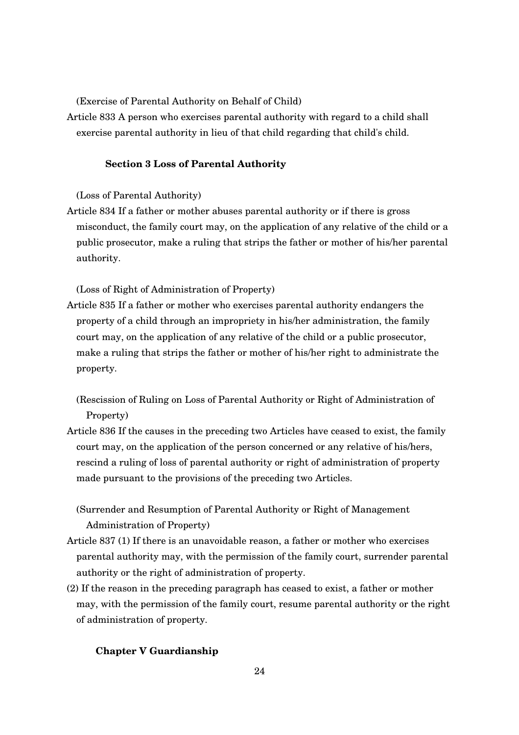(Exercise of Parental Authority on Behalf of Child)

Article 833 A person who exercises parental authority with regard to a child shall exercise parental authority in lieu of that child regarding that child's child.

#### **Section 3 Loss of Parental Authority**

(Loss of Parental Authority)

Article 834 If a father or mother abuses parental authority or if there is gross misconduct, the family court may, on the application of any relative of the child or a public prosecutor, make a ruling that strips the father or mother of his/her parental authority.

(Loss of Right of Administration of Property)

- Article 835 If a father or mother who exercises parental authority endangers the property of a child through an impropriety in his/her administration, the family court may, on the application of any relative of the child or a public prosecutor, make a ruling that strips the father or mother of his/her right to administrate the property.
	- (Rescission of Ruling on Loss of Parental Authority or Right of Administration of Property)
- Article 836 If the causes in the preceding two Articles have ceased to exist, the family court may, on the application of the person concerned or any relative of his/hers, rescind a ruling of loss of parental authority or right of administration of property made pursuant to the provisions of the preceding two Articles.
	- (Surrender and Resumption of Parental Authority or Right of Management Administration of Property)
- Article 837 (1) If there is an unavoidable reason, a father or mother who exercises parental authority may, with the permission of the family court, surrender parental authority or the right of administration of property.
- (2) If the reason in the preceding paragraph has ceased to exist, a father or mother may, with the permission of the family court, resume parental authority or the right of administration of property.

#### **Chapter V Guardianship**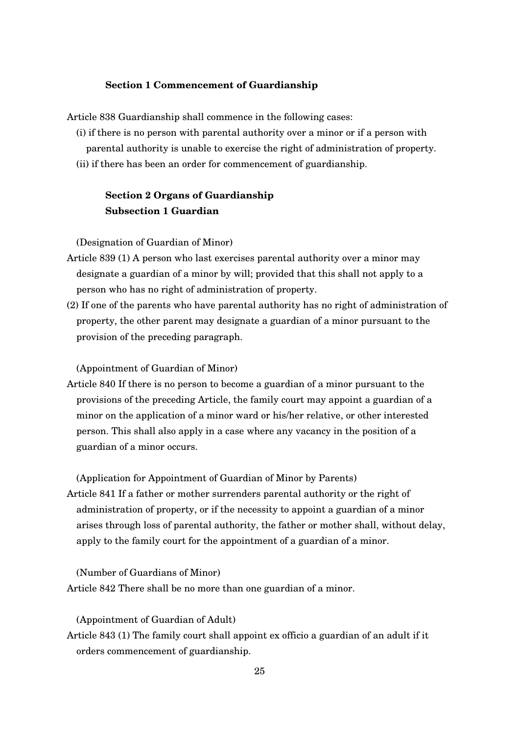#### **Section 1 Commencement of Guardianship**

Article 838 Guardianship shall commence in the following cases:

- (i) if there is no person with parental authority over a minor or if a person with parental authority is unable to exercise the right of administration of property.
- (ii) if there has been an order for commencement of guardianship.

# **Section 2 Organs of Guardianship Subsection 1 Guardian**

(Designation of Guardian of Minor)

- Article 839 (1) A person who last exercises parental authority over a minor may designate a guardian of a minor by will; provided that this shall not apply to a person who has no right of administration of property.
- (2) If one of the parents who have parental authority has no right of administration of property, the other parent may designate a guardian of a minor pursuant to the provision of the preceding paragraph.

(Appointment of Guardian of Minor)

Article 840 If there is no person to become a guardian of a minor pursuant to the provisions of the preceding Article, the family court may appoint a guardian of a minor on the application of a minor ward or his/her relative, or other interested person. This shall also apply in a case where any vacancy in the position of a guardian of a minor occurs.

(Application for Appointment of Guardian of Minor by Parents)

Article 841 If a father or mother surrenders parental authority or the right of administration of property, or if the necessity to appoint a guardian of a minor arises through loss of parental authority, the father or mother shall, without delay, apply to the family court for the appointment of a guardian of a minor.

(Number of Guardians of Minor) Article 842 There shall be no more than one guardian of a minor.

(Appointment of Guardian of Adult)

Article 843 (1) The family court shall appoint ex officio a guardian of an adult if it orders commencement of guardianship.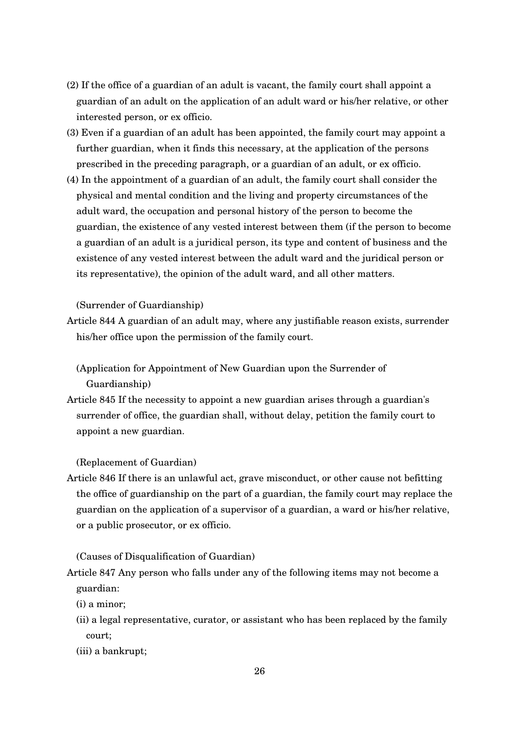- (2) If the office of a guardian of an adult is vacant, the family court shall appoint a guardian of an adult on the application of an adult ward or his/her relative, or other interested person, or ex officio.
- (3) Even if a guardian of an adult has been appointed, the family court may appoint a further guardian, when it finds this necessary, at the application of the persons prescribed in the preceding paragraph, or a guardian of an adult, or ex officio.
- (4) In the appointment of a guardian of an adult, the family court shall consider the physical and mental condition and the living and property circumstances of the adult ward, the occupation and personal history of the person to become the guardian, the existence of any vested interest between them (if the person to become a guardian of an adult is a juridical person, its type and content of business and the existence of any vested interest between the adult ward and the juridical person or its representative), the opinion of the adult ward, and all other matters.

#### (Surrender of Guardianship)

Article 844 A guardian of an adult may, where any justifiable reason exists, surrender his/her office upon the permission of the family court.

(Application for Appointment of New Guardian upon the Surrender of Guardianship)

Article 845 If the necessity to appoint a new guardian arises through a guardian's surrender of office, the guardian shall, without delay, petition the family court to appoint a new guardian.

(Replacement of Guardian)

Article 846 If there is an unlawful act, grave misconduct, or other cause not befitting the office of guardianship on the part of a guardian, the family court may replace the guardian on the application of a supervisor of a guardian, a ward or his/her relative, or a public prosecutor, or ex officio.

(Causes of Disqualification of Guardian)

- Article 847 Any person who falls under any of the following items may not become a guardian:
	- (i) a minor;
	- (ii) a legal representative, curator, or assistant who has been replaced by the family court;
	- (iii) a bankrupt;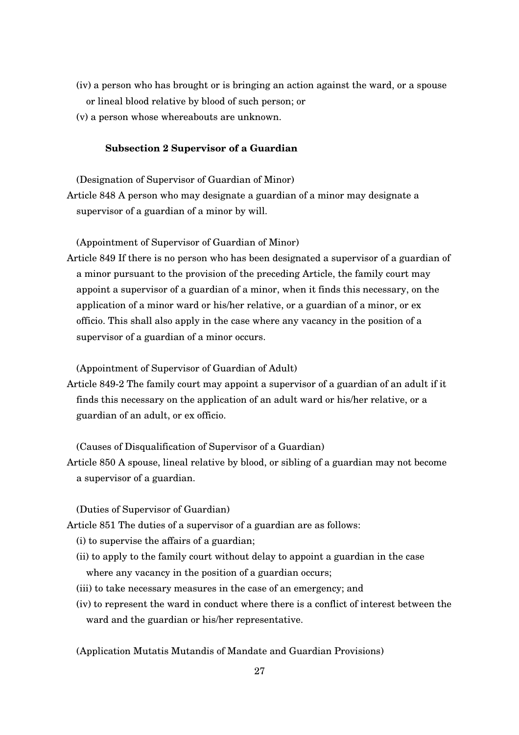- (iv) a person who has brought or is bringing an action against the ward, or a spouse or lineal blood relative by blood of such person; or
- (v) a person whose whereabouts are unknown.

## **Subsection 2 Supervisor of a Guardian**

(Designation of Supervisor of Guardian of Minor) Article 848 A person who may designate a guardian of a minor may designate a supervisor of a guardian of a minor by will.

(Appointment of Supervisor of Guardian of Minor)

Article 849 If there is no person who has been designated a supervisor of a guardian of a minor pursuant to the provision of the preceding Article, the family court may appoint a supervisor of a guardian of a minor, when it finds this necessary, on the application of a minor ward or his/her relative, or a guardian of a minor, or ex officio. This shall also apply in the case where any vacancy in the position of a supervisor of a guardian of a minor occurs.

(Appointment of Supervisor of Guardian of Adult)

Article 8492 The family court may appoint a supervisor of a guardian of an adult if it finds this necessary on the application of an adult ward or his/her relative, or a guardian of an adult, or ex officio.

(Causes of Disqualification of Supervisor of a Guardian)

Article 850 A spouse, lineal relative by blood, or sibling of a guardian may not become a supervisor of a guardian.

(Duties of Supervisor of Guardian)

Article 851 The duties of a supervisor of a guardian are as follows:

- (i) to supervise the affairs of a guardian;
- (ii) to apply to the family court without delay to appoint a guardian in the case where any vacancy in the position of a guardian occurs;
- (iii) to take necessary measures in the case of an emergency; and
- (iv) to represent the ward in conduct where there is a conflict of interest between the ward and the guardian or his/her representative.

(Application Mutatis Mutandis of Mandate and Guardian Provisions)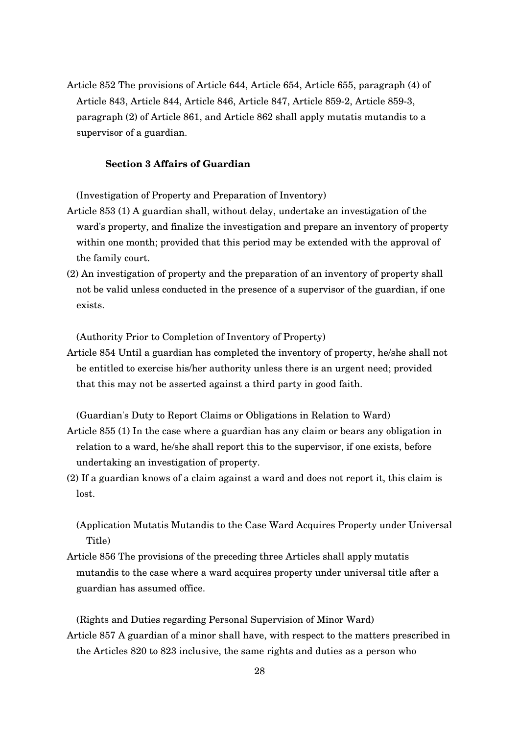Article 852 The provisions of Article 644, Article 654, Article 655, paragraph (4) of Article 843, Article 844, Article 846, Article 847, Article 8592, Article 8593, paragraph (2) of Article 861, and Article 862 shall apply mutatis mutandis to a supervisor of a guardian.

## **Section 3 Affairs of Guardian**

(Investigation of Property and Preparation of Inventory)

- Article 853 (1) A guardian shall, without delay, undertake an investigation of the ward's property, and finalize the investigation and prepare an inventory of property within one month; provided that this period may be extended with the approval of the family court.
- (2) An investigation of property and the preparation of an inventory of property shall not be valid unless conducted in the presence of a supervisor of the guardian, if one exists.

(Authority Prior to Completion of Inventory of Property)

Article 854 Until a guardian has completed the inventory of property, he/she shall not be entitled to exercise his/her authority unless there is an urgent need; provided that this may not be asserted against a third party in good faith.

(Guardian's Duty to Report Claims or Obligations in Relation to Ward) Article 855 (1) In the case where a guardian has any claim or bears any obligation in relation to a ward, he/she shall report this to the supervisor, if one exists, before undertaking an investigation of property.

(2) If a guardian knows of a claim against a ward and does not report it, this claim is lost.

(Application Mutatis Mutandis to the Case Ward Acquires Property under Universal Title)

Article 856 The provisions of the preceding three Articles shall apply mutatis mutandis to the case where a ward acquires property under universal title after a guardian has assumed office.

(Rights and Duties regarding Personal Supervision of Minor Ward) Article 857 A guardian of a minor shall have, with respect to the matters prescribed in the Articles 820 to 823 inclusive, the same rights and duties as a person who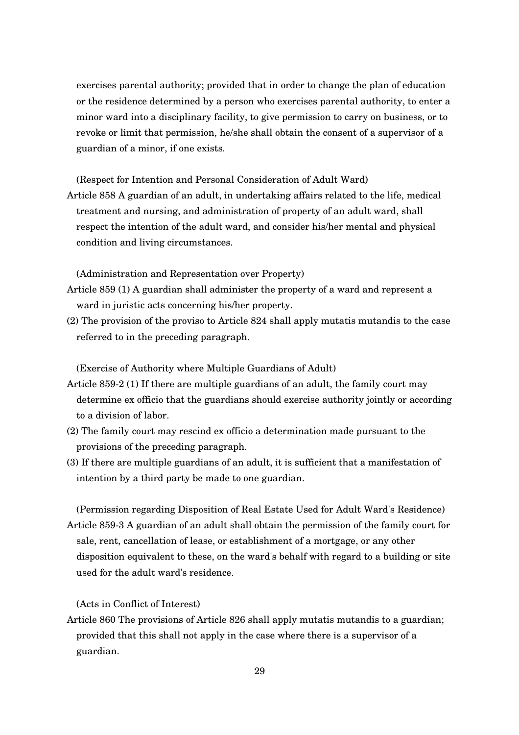exercises parental authority; provided that in order to change the plan of education or the residence determined by a person who exercises parental authority, to enter a minor ward into a disciplinary facility, to give permission to carry on business, or to revoke or limit that permission, he/she shall obtain the consent of a supervisor of a guardian of a minor, if one exists.

(Respect for Intention and Personal Consideration of Adult Ward) Article 858 A guardian of an adult, in undertaking affairs related to the life, medical treatment and nursing, and administration of property of an adult ward, shall respect the intention of the adult ward, and consider his/her mental and physical condition and living circumstances.

(Administration and Representation over Property)

- Article 859 (1) A guardian shall administer the property of a ward and represent a ward in juristic acts concerning his/her property.
- (2) The provision of the proviso to Article 824 shall apply mutatis mutandis to the case referred to in the preceding paragraph.

(Exercise of Authority where Multiple Guardians of Adult)

- Article 8592 (1) If there are multiple guardians of an adult, the family court may determine ex officio that the guardians should exercise authority jointly or according to a division of labor.
- (2) The family court may rescind ex officio a determination made pursuant to the provisions of the preceding paragraph.
- (3) If there are multiple guardians of an adult, it is sufficient that a manifestation of intention by a third party be made to one guardian.

(Permission regarding Disposition of Real Estate Used for Adult Ward's Residence) Article 8593 A guardian of an adult shall obtain the permission of the family court for sale, rent, cancellation of lease, or establishment of a mortgage, or any other disposition equivalent to these, on the ward's behalf with regard to a building or site used for the adult ward's residence.

(Acts in Conflict of Interest)

Article 860 The provisions of Article 826 shall apply mutatis mutandis to a guardian; provided that this shall not apply in the case where there is a supervisor of a guardian.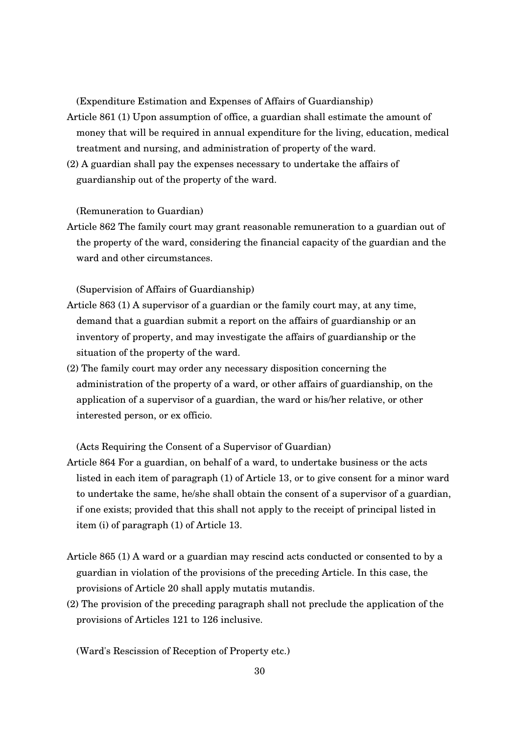(Expenditure Estimation and Expenses of Affairs of Guardianship)

- Article 861 (1) Upon assumption of office, a guardian shall estimate the amount of money that will be required in annual expenditure for the living, education, medical treatment and nursing, and administration of property of the ward.
- (2) A guardian shall pay the expenses necessary to undertake the affairs of guardianship out of the property of the ward.

(Remuneration to Guardian)

Article 862 The family court may grant reasonable remuneration to a guardian out of the property of the ward, considering the financial capacity of the guardian and the ward and other circumstances.

(Supervision of Affairs of Guardianship)

- Article 863 (1) A supervisor of a guardian or the family court may, at any time, demand that a guardian submit a report on the affairs of guardianship or an inventory of property, and may investigate the affairs of guardianship or the situation of the property of the ward.
- (2) The family court may order any necessary disposition concerning the administration of the property of a ward, or other affairs of guardianship, on the application of a supervisor of a guardian, the ward or his/her relative, or other interested person, or ex officio.

(Acts Requiring the Consent of a Supervisor of Guardian)

- Article 864 For a guardian, on behalf of a ward, to undertake business or the acts listed in each item of paragraph (1) of Article 13, or to give consent for a minor ward to undertake the same, he/she shall obtain the consent of a supervisor of a guardian, if one exists; provided that this shall not apply to the receipt of principal listed in item (i) of paragraph (1) of Article 13.
- Article 865 (1) A ward or a guardian may rescind acts conducted or consented to by a guardian in violation of the provisions of the preceding Article. In this case, the provisions of Article 20 shall apply mutatis mutandis.
- (2) The provision of the preceding paragraph shall not preclude the application of the provisions of Articles 121 to 126 inclusive.

(Ward's Rescission of Reception of Property etc.)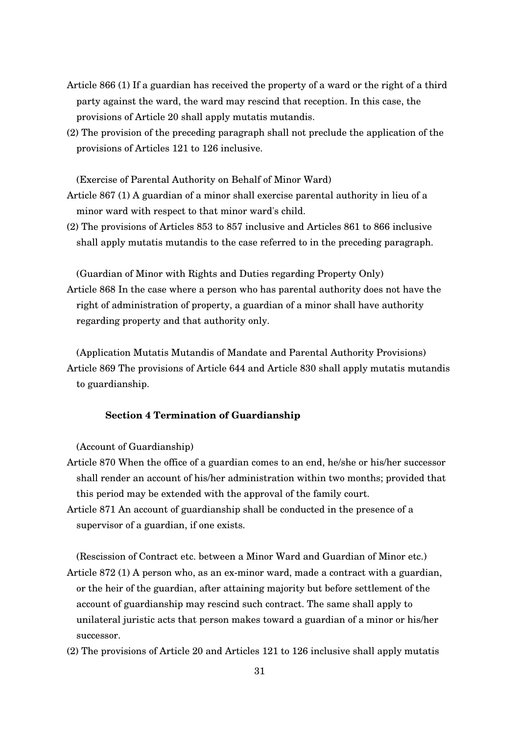- Article 866 (1) If a guardian has received the property of a ward or the right of a third party against the ward, the ward may rescind that reception. In this case, the provisions of Article 20 shall apply mutatis mutandis.
- (2) The provision of the preceding paragraph shall not preclude the application of the provisions of Articles 121 to 126 inclusive.

(Exercise of Parental Authority on Behalf of Minor Ward)

- Article 867 (1) A guardian of a minor shall exercise parental authority in lieu of a minor ward with respect to that minor ward's child.
- (2) The provisions of Articles 853 to 857 inclusive and Articles 861 to 866 inclusive shall apply mutatis mutandis to the case referred to in the preceding paragraph.

(Guardian of Minor with Rights and Duties regarding Property Only) Article 868 In the case where a person who has parental authority does not have the right of administration of property, a guardian of a minor shall have authority regarding property and that authority only.

(Application Mutatis Mutandis of Mandate and Parental Authority Provisions) Article 869 The provisions of Article 644 and Article 830 shall apply mutatis mutandis to guardianship.

## **Section 4 Termination of Guardianship**

(Account of Guardianship)

- Article 870 When the office of a guardian comes to an end, he/she or his/her successor shall render an account of his/her administration within two months; provided that this period may be extended with the approval of the family court.
- Article 871 An account of guardianship shall be conducted in the presence of a supervisor of a guardian, if one exists.

(Rescission of Contract etc. between a Minor Ward and Guardian of Minor etc.) Article  $872$  (1) A person who, as an ex-minor ward, made a contract with a guardian, or the heir of the guardian, after attaining majority but before settlement of the account of guardianship may rescind such contract. The same shall apply to unilateral juristic acts that person makes toward a guardian of a minor or his/her successor.

(2) The provisions of Article 20 and Articles 121 to 126 inclusive shall apply mutatis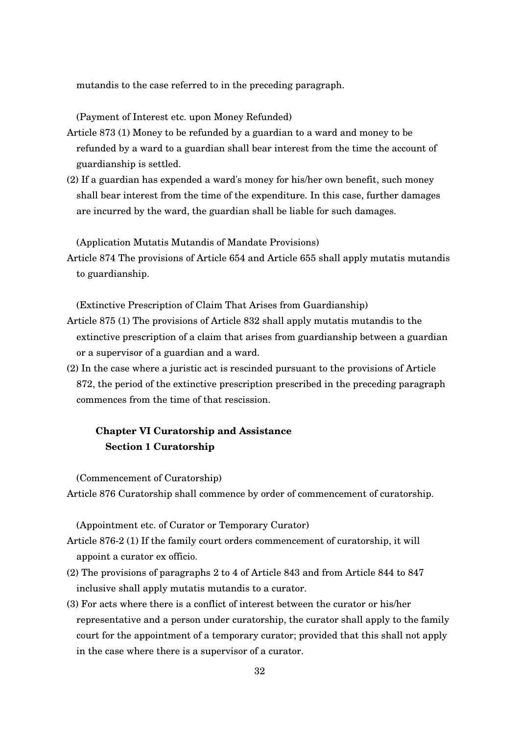mutandis to the case referred to in the preceding paragraph.

(Payment of Interest etc. upon Money Refunded)

- Article 873 (1) Money to be refunded by a guardian to a ward and money to be refunded by a ward to a guardian shall bear interest from the time the account of guardianship is settled.
- (2) If a guardian has expended a ward's money for his/her own benefit, such money shall bear interest from the time of the expenditure. In this case, further damages are incurred by the ward, the guardian shall be liable for such damages.

(Application Mutatis Mutandis of Mandate Provisions)

Article 874 The provisions of Article 654 and Article 655 shall apply mutatis mutandis to guardianship.

(Extinctive Prescription of Claim That Arises from Guardianship)

- Article 875 (1) The provisions of Article 832 shall apply mutatis mutandis to the extinctive prescription of a claim that arises from guardianship between a guardian or a supervisor of a guardian and a ward.
- (2) In the case where a juristic act is rescinded pursuant to the provisions of Article 872, the period of the extinctive prescription prescribed in the preceding paragraph commences from the time of that rescission.

# **Chapter VI Curatorship and Assistance Section 1 Curatorship**

(Commencement of Curatorship)

Article 876 Curatorship shall commence by order of commencement of curatorship.

(Appointment etc. of Curator or Temporary Curator)

Article 8762 (1) If the family court orders commencement of curatorship, it will appoint a curator ex officio.

- (2) The provisions of paragraphs 2 to 4 of Article 843 and from Article 844 to 847 inclusive shall apply mutatis mutandis to a curator.
- (3) For acts where there is a conflict of interest between the curator or his/her representative and a person under curatorship, the curator shall apply to the family court for the appointment of a temporary curator; provided that this shall not apply in the case where there is a supervisor of a curator.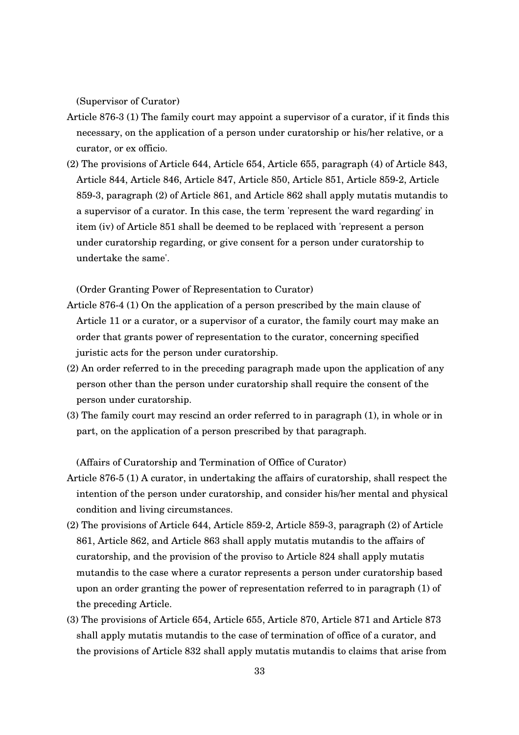(Supervisor of Curator)

- Article 8763 (1) The family court may appoint a supervisor of a curator, if it finds this necessary, on the application of a person under curatorship or his/her relative, or a curator, or ex officio.
- (2) The provisions of Article 644, Article 654, Article 655, paragraph (4) of Article 843, Article 844, Article 846, Article 847, Article 850, Article 851, Article 8592, Article 8593, paragraph (2) of Article 861, and Article 862 shall apply mutatis mutandis to a supervisor of a curator. In this case, the term 'represent the ward regarding' in item (iv) of Article 851 shall be deemed to be replaced with 'represent a person under curatorship regarding, or give consent for a person under curatorship to undertake the same'.

(Order Granting Power of Representation to Curator)

- Article 8764 (1) On the application of a person prescribed by the main clause of Article 11 or a curator, or a supervisor of a curator, the family court may make an order that grants power of representation to the curator, concerning specified juristic acts for the person under curatorship.
- (2) An order referred to in the preceding paragraph made upon the application of any person other than the person under curatorship shall require the consent of the person under curatorship.
- (3) The family court may rescind an order referred to in paragraph (1), in whole or in part, on the application of a person prescribed by that paragraph.

(Affairs of Curatorship and Termination of Office of Curator)

- Article 876-5 (1) A curator, in undertaking the affairs of curatorship, shall respect the intention of the person under curatorship, and consider his/her mental and physical condition and living circumstances.
- (2) The provisions of Article 644, Article 859-2, Article 859-3, paragraph (2) of Article 861, Article 862, and Article 863 shall apply mutatis mutandis to the affairs of curatorship, and the provision of the proviso to Article 824 shall apply mutatis mutandis to the case where a curator represents a person under curatorship based upon an order granting the power of representation referred to in paragraph (1) of the preceding Article.
- (3) The provisions of Article 654, Article 655, Article 870, Article 871 and Article 873 shall apply mutatis mutandis to the case of termination of office of a curator, and the provisions of Article 832 shall apply mutatis mutandis to claims that arise from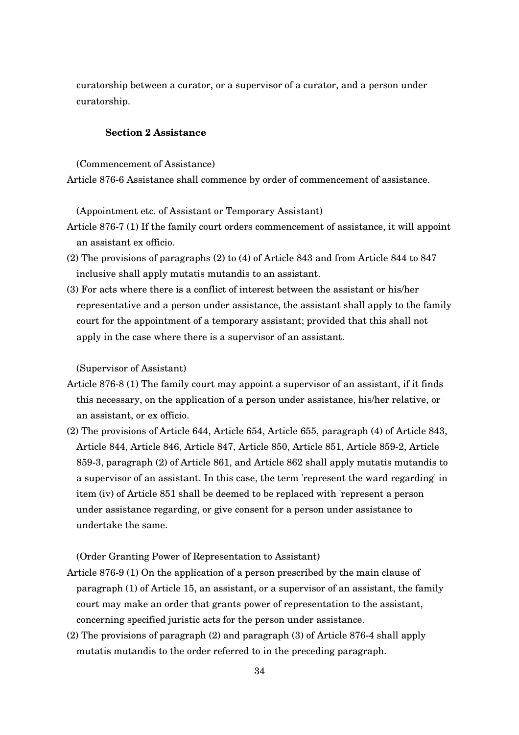curatorship between a curator, or a supervisor of a curator, and a person under curatorship.

## **Section 2 Assistance**

(Commencement of Assistance)

Article 8766 Assistance shall commence by order of commencement of assistance.

(Appointment etc. of Assistant or Temporary Assistant)

- Article 876-7 (1) If the family court orders commencement of assistance, it will appoint an assistant ex officio.
- (2) The provisions of paragraphs (2) to (4) of Article 843 and from Article 844 to 847 inclusive shall apply mutatis mutandis to an assistant.
- (3) For acts where there is a conflict of interest between the assistant or his/her representative and a person under assistance, the assistant shall apply to the family court for the appointment of a temporary assistant; provided that this shall not apply in the case where there is a supervisor of an assistant.

(Supervisor of Assistant)

- Article 876-8 (1) The family court may appoint a supervisor of an assistant, if it finds this necessary, on the application of a person under assistance, his/her relative, or an assistant, or ex officio.
- (2) The provisions of Article 644, Article 654, Article 655, paragraph (4) of Article 843, Article 844, Article 846, Article 847, Article 850, Article 851, Article 8592, Article 8593, paragraph (2) of Article 861, and Article 862 shall apply mutatis mutandis to a supervisor of an assistant. In this case, the term 'represent the ward regarding' in item (iv) of Article 851 shall be deemed to be replaced with 'represent a person under assistance regarding, or give consent for a person under assistance to undertake the same.

(Order Granting Power of Representation to Assistant)

- Article 876-9 (1) On the application of a person prescribed by the main clause of paragraph (1) of Article 15, an assistant, or a supervisor of an assistant, the family court may make an order that grants power of representation to the assistant, concerning specified juristic acts for the person under assistance.
- (2) The provisions of paragraph (2) and paragraph (3) of Article 8764 shall apply mutatis mutandis to the order referred to in the preceding paragraph.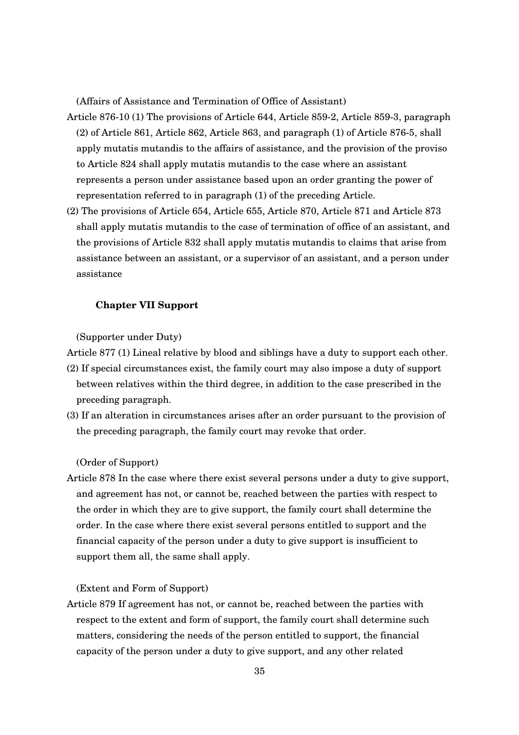(Affairs of Assistance and Termination of Office of Assistant)

- Article 87610 (1) The provisions of Article 644, Article 8592, Article 8593, paragraph (2) of Article 861, Article 862, Article 863, and paragraph (1) of Article 8765, shall apply mutatis mutandis to the affairs of assistance, and the provision of the proviso to Article 824 shall apply mutatis mutandis to the case where an assistant represents a person under assistance based upon an order granting the power of representation referred to in paragraph (1) of the preceding Article.
- (2) The provisions of Article 654, Article 655, Article 870, Article 871 and Article 873 shall apply mutatis mutandis to the case of termination of office of an assistant, and the provisions of Article 832 shall apply mutatis mutandis to claims that arise from assistance between an assistant, or a supervisor of an assistant, and a person under assistance

## **Chapter VII Support**

(Supporter under Duty)

Article 877 (1) Lineal relative by blood and siblings have a duty to support each other.

- (2) If special circumstances exist, the family court may also impose a duty of support between relatives within the third degree, in addition to the case prescribed in the preceding paragraph.
- (3) If an alteration in circumstances arises after an order pursuant to the provision of the preceding paragraph, the family court may revoke that order.

(Order of Support)

Article 878 In the case where there exist several persons under a duty to give support, and agreement has not, or cannot be, reached between the parties with respect to the order in which they are to give support, the family court shall determine the order. In the case where there exist several persons entitled to support and the financial capacity of the person under a duty to give support is insufficient to support them all, the same shall apply.

(Extent and Form of Support)

Article 879 If agreement has not, or cannot be, reached between the parties with respect to the extent and form of support, the family court shall determine such matters, considering the needs of the person entitled to support, the financial capacity of the person under a duty to give support, and any other related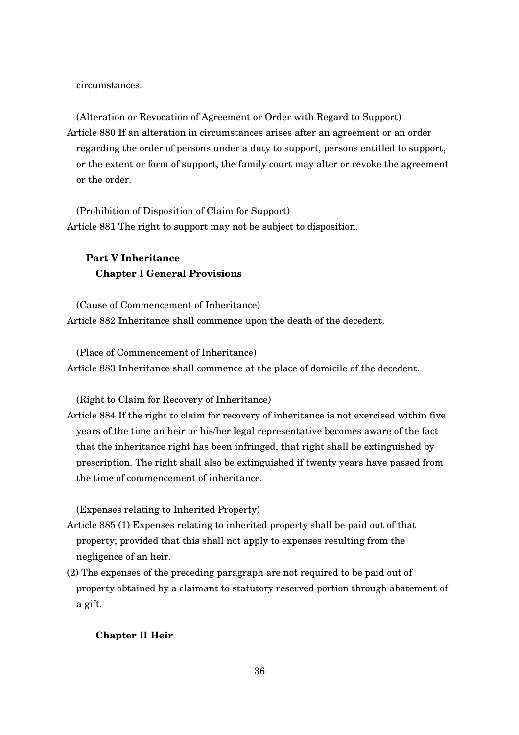circumstances.

(Alteration or Revocation of Agreement or Order with Regard to Support) Article 880 If an alteration in circumstances arises after an agreement or an order regarding the order of persons under a duty to support, persons entitled to support, or the extent or form of support, the family court may alter or revoke the agreement or the order.

(Prohibition of Disposition of Claim for Support) Article 881 The right to support may not be subject to disposition.

# **Part V Inheritance Chapter I General Provisions**

(Cause of Commencement of Inheritance) Article 882 Inheritance shall commence upon the death of the decedent.

(Place of Commencement of Inheritance) Article 883 Inheritance shall commence at the place of domicile of the decedent.

(Right to Claim for Recovery of Inheritance)

Article 884 If the right to claim for recovery of inheritance is not exercised within five years of the time an heir or his/her legal representative becomes aware of the fact that the inheritance right has been infringed, that right shall be extinguished by prescription. The right shall also be extinguished if twenty years have passed from the time of commencement of inheritance.

(Expenses relating to Inherited Property)

- Article 885 (1) Expenses relating to inherited property shall be paid out of that property; provided that this shall not apply to expenses resulting from the negligence of an heir.
- (2) The expenses of the preceding paragraph are not required to be paid out of property obtained by a claimant to statutory reserved portion through abatement of a gift.

## **Chapter II Heir**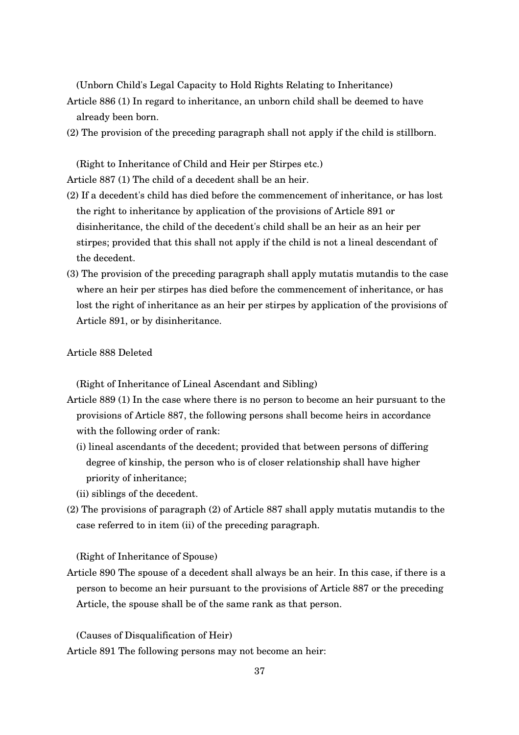(Unborn Child's Legal Capacity to Hold Rights Relating to Inheritance)

- Article 886 (1) In regard to inheritance, an unborn child shall be deemed to have already been born.
- (2) The provision of the preceding paragraph shall not apply if the child is stillborn.

(Right to Inheritance of Child and Heir per Stirpes etc.) Article 887 (1) The child of a decedent shall be an heir.

- (2) If a decedent's child has died before the commencement of inheritance, or has lost the right to inheritance by application of the provisions of Article 891 or disinheritance, the child of the decedent's child shall be an heir as an heir per stirpes; provided that this shall not apply if the child is not a lineal descendant of the decedent.
- (3) The provision of the preceding paragraph shall apply mutatis mutandis to the case where an heir per stirpes has died before the commencement of inheritance, or has lost the right of inheritance as an heir per stirpes by application of the provisions of Article 891, or by disinheritance.

#### Article 888 Deleted

(Right of Inheritance of Lineal Ascendant and Sibling)

- Article 889 (1) In the case where there is no person to become an heir pursuant to the provisions of Article 887, the following persons shall become heirs in accordance with the following order of rank:
	- (i) lineal ascendants of the decedent; provided that between persons of differing degree of kinship, the person who is of closer relationship shall have higher priority of inheritance;
	- (ii) siblings of the decedent.
- (2) The provisions of paragraph (2) of Article 887 shall apply mutatis mutandis to the case referred to in item (ii) of the preceding paragraph.

(Right of Inheritance of Spouse)

Article 890 The spouse of a decedent shall always be an heir. In this case, if there is a person to become an heir pursuant to the provisions of Article 887 or the preceding Article, the spouse shall be of the same rank as that person.

(Causes of Disqualification of Heir) Article 891 The following persons may not become an heir: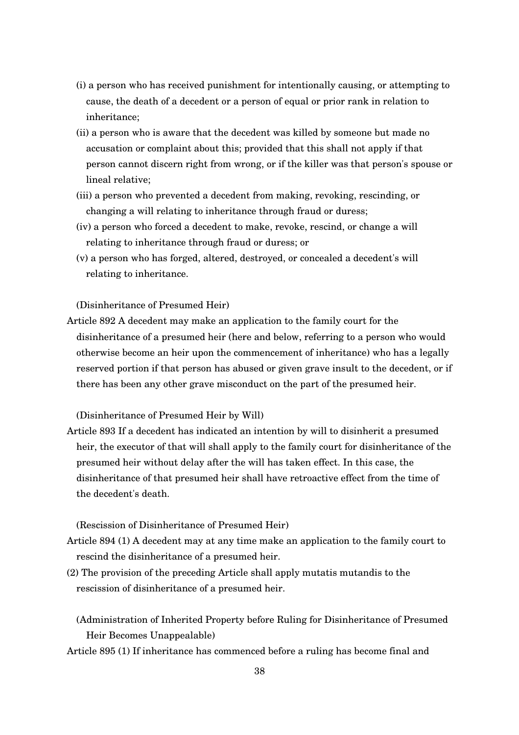- (i) a person who has received punishment for intentionally causing, or attempting to cause, the death of a decedent or a person of equal or prior rank in relation to inheritance;
- (ii) a person who is aware that the decedent was killed by someone but made no accusation or complaint about this; provided that this shall not apply if that person cannot discern right from wrong, or if the killer was that person's spouse or lineal relative;
- (iii) a person who prevented a decedent from making, revoking, rescinding, or changing a will relating to inheritance through fraud or duress;
- (iv) a person who forced a decedent to make, revoke, rescind, or change a will relating to inheritance through fraud or duress; or
- (v) a person who has forged, altered, destroyed, or concealed a decedent's will relating to inheritance.

(Disinheritance of Presumed Heir)

Article 892 A decedent may make an application to the family court for the disinheritance of a presumed heir (here and below, referring to a person who would otherwise become an heir upon the commencement of inheritance) who has a legally reserved portion if that person has abused or given grave insult to the decedent, or if there has been any other grave misconduct on the part of the presumed heir.

(Disinheritance of Presumed Heir by Will)

Article 893 If a decedent has indicated an intention by will to disinherit a presumed heir, the executor of that will shall apply to the family court for disinheritance of the presumed heir without delay after the will has taken effect. In this case, the disinheritance of that presumed heir shall have retroactive effect from the time of the decedent's death.

(Rescission of Disinheritance of Presumed Heir)

- Article 894 (1) A decedent may at any time make an application to the family court to rescind the disinheritance of a presumed heir.
- (2) The provision of the preceding Article shall apply mutatis mutandis to the rescission of disinheritance of a presumed heir.
	- (Administration of Inherited Property before Ruling for Disinheritance of Presumed Heir Becomes Unappealable)
- Article 895 (1) If inheritance has commenced before a ruling has become final and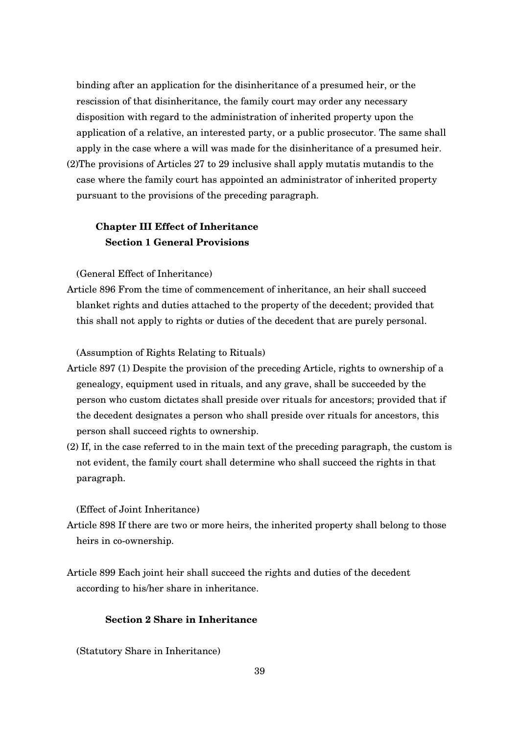binding after an application for the disinheritance of a presumed heir, or the rescission of that disinheritance, the family court may order any necessary disposition with regard to the administration of inherited property upon the application of a relative, an interested party, or a public prosecutor. The same shall apply in the case where a will was made for the disinheritance of a presumed heir. (2)The provisions of Articles 27 to 29 inclusive shall apply mutatis mutandis to the case where the family court has appointed an administrator of inherited property

#### pursuant to the provisions of the preceding paragraph.

# **Chapter III Effect of Inheritance Section 1 General Provisions**

(General Effect of Inheritance)

Article 896 From the time of commencement of inheritance, an heir shall succeed blanket rights and duties attached to the property of the decedent; provided that this shall not apply to rights or duties of the decedent that are purely personal.

(Assumption of Rights Relating to Rituals)

- Article 897 (1) Despite the provision of the preceding Article, rights to ownership of a genealogy, equipment used in rituals, and any grave, shall be succeeded by the person who custom dictates shall preside over rituals for ancestors; provided that if the decedent designates a person who shall preside over rituals for ancestors, this person shall succeed rights to ownership.
- (2) If, in the case referred to in the main text of the preceding paragraph, the custom is not evident, the family court shall determine who shall succeed the rights in that paragraph.

(Effect of Joint Inheritance)

- Article 898 If there are two or more heirs, the inherited property shall belong to those heirs in co-ownership.
- Article 899 Each joint heir shall succeed the rights and duties of the decedent according to his/her share in inheritance.

## **Section 2 Share in Inheritance**

(Statutory Share in Inheritance)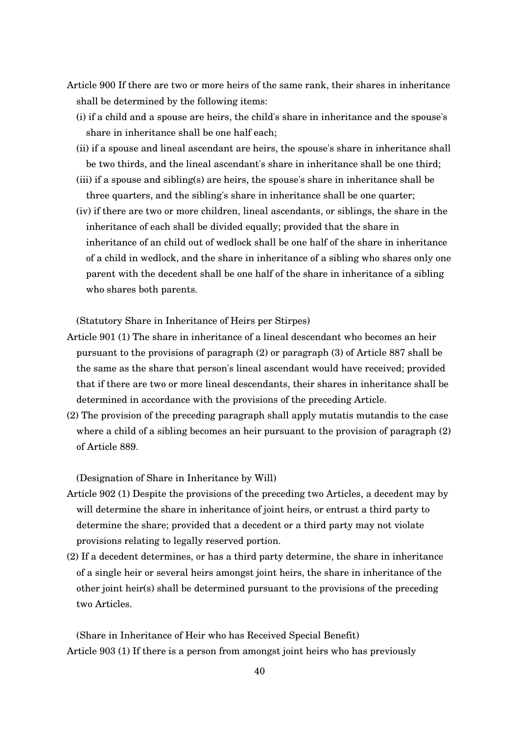- Article 900 If there are two or more heirs of the same rank, their shares in inheritance shall be determined by the following items:
	- (i) if a child and a spouse are heirs, the child's share in inheritance and the spouse's share in inheritance shall be one half each;
	- (ii) if a spouse and lineal ascendant are heirs, the spouse's share in inheritance shall be two thirds, and the lineal ascendant's share in inheritance shall be one third;
	- (iii) if a spouse and sibling(s) are heirs, the spouse's share in inheritance shall be three quarters, and the sibling's share in inheritance shall be one quarter;
	- (iv) if there are two or more children, lineal ascendants, or siblings, the share in the inheritance of each shall be divided equally; provided that the share in inheritance of an child out of wedlock shall be one half of the share in inheritance of a child in wedlock, and the share in inheritance of a sibling who shares only one parent with the decedent shall be one half of the share in inheritance of a sibling who shares both parents.

(Statutory Share in Inheritance of Heirs per Stirpes)

- Article 901 (1) The share in inheritance of a lineal descendant who becomes an heir pursuant to the provisions of paragraph (2) or paragraph (3) of Article 887 shall be the same as the share that person's lineal ascendant would have received; provided that if there are two or more lineal descendants, their shares in inheritance shall be determined in accordance with the provisions of the preceding Article.
- (2) The provision of the preceding paragraph shall apply mutatis mutandis to the case where a child of a sibling becomes an heir pursuant to the provision of paragraph (2) of Article 889.

(Designation of Share in Inheritance by Will)

- Article 902 (1) Despite the provisions of the preceding two Articles, a decedent may by will determine the share in inheritance of joint heirs, or entrust a third party to determine the share; provided that a decedent or a third party may not violate provisions relating to legally reserved portion.
- (2) If a decedent determines, or has a third party determine, the share in inheritance of a single heir or several heirs amongst joint heirs, the share in inheritance of the other joint heir(s) shall be determined pursuant to the provisions of the preceding two Articles.

(Share in Inheritance of Heir who has Received Special Benefit) Article 903 (1) If there is a person from amongst joint heirs who has previously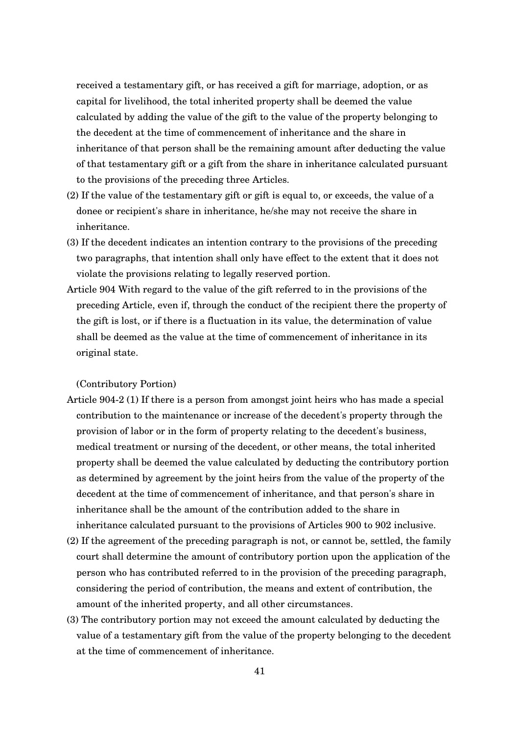received a testamentary gift, or has received a gift for marriage, adoption, or as capital for livelihood, the total inherited property shall be deemed the value calculated by adding the value of the gift to the value of the property belonging to the decedent at the time of commencement of inheritance and the share in inheritance of that person shall be the remaining amount after deducting the value of that testamentary gift or a gift from the share in inheritance calculated pursuant to the provisions of the preceding three Articles.

- (2) If the value of the testamentary gift or gift is equal to, or exceeds, the value of a donee or recipient's share in inheritance, he/she may not receive the share in inheritance.
- (3) If the decedent indicates an intention contrary to the provisions of the preceding two paragraphs, that intention shall only have effect to the extent that it does not violate the provisions relating to legally reserved portion.
- Article 904 With regard to the value of the gift referred to in the provisions of the preceding Article, even if, through the conduct of the recipient there the property of the gift is lost, or if there is a fluctuation in its value, the determination of value shall be deemed as the value at the time of commencement of inheritance in its original state.

(Contributory Portion)

- Article 9042 (1) If there is a person from amongst joint heirs who has made a special contribution to the maintenance or increase of the decedent's property through the provision of labor or in the form of property relating to the decedent's business, medical treatment or nursing of the decedent, or other means, the total inherited property shall be deemed the value calculated by deducting the contributory portion as determined by agreement by the joint heirs from the value of the property of the decedent at the time of commencement of inheritance, and that person's share in inheritance shall be the amount of the contribution added to the share in inheritance calculated pursuant to the provisions of Articles 900 to 902 inclusive.
- (2) If the agreement of the preceding paragraph is not, or cannot be, settled, the family court shall determine the amount of contributory portion upon the application of the person who has contributed referred to in the provision of the preceding paragraph, considering the period of contribution, the means and extent of contribution, the amount of the inherited property, and all other circumstances.
- (3) The contributory portion may not exceed the amount calculated by deducting the value of a testamentary gift from the value of the property belonging to the decedent at the time of commencement of inheritance.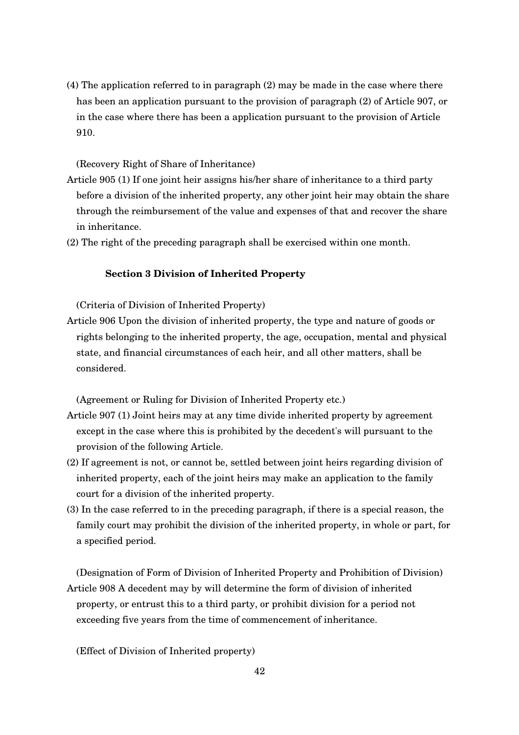(4) The application referred to in paragraph (2) may be made in the case where there has been an application pursuant to the provision of paragraph (2) of Article 907, or in the case where there has been a application pursuant to the provision of Article 910.

#### (Recovery Right of Share of Inheritance)

- Article 905 (1) If one joint heir assigns his/her share of inheritance to a third party before a division of the inherited property, any other joint heir may obtain the share through the reimbursement of the value and expenses of that and recover the share in inheritance.
- (2) The right of the preceding paragraph shall be exercised within one month.

#### **Section 3 Division of Inherited Property**

(Criteria of Division of Inherited Property)

Article 906 Upon the division of inherited property, the type and nature of goods or rights belonging to the inherited property, the age, occupation, mental and physical state, and financial circumstances of each heir, and all other matters, shall be considered.

(Agreement or Ruling for Division of Inherited Property etc.)

- Article 907 (1) Joint heirs may at any time divide inherited property by agreement except in the case where this is prohibited by the decedent's will pursuant to the provision of the following Article.
- (2) If agreement is not, or cannot be, settled between joint heirs regarding division of inherited property, each of the joint heirs may make an application to the family court for a division of the inherited property.
- (3) In the case referred to in the preceding paragraph, if there is a special reason, the family court may prohibit the division of the inherited property, in whole or part, for a specified period.

(Designation of Form of Division of Inherited Property and Prohibition of Division) Article 908 A decedent may by will determine the form of division of inherited property, or entrust this to a third party, or prohibit division for a period not exceeding five years from the time of commencement of inheritance.

(Effect of Division of Inherited property)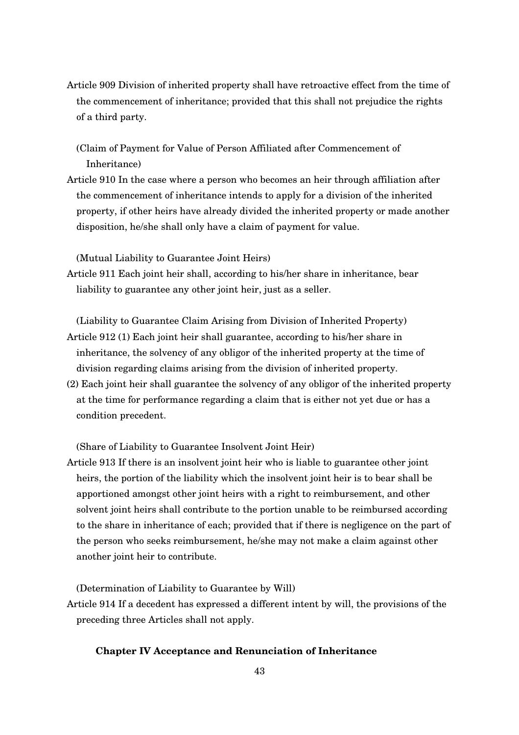- Article 909 Division of inherited property shall have retroactive effect from the time of the commencement of inheritance; provided that this shall not prejudice the rights of a third party.
	- (Claim of Payment for Value of Person Affiliated after Commencement of Inheritance)
- Article 910 In the case where a person who becomes an heir through affiliation after the commencement of inheritance intends to apply for a division of the inherited property, if other heirs have already divided the inherited property or made another disposition, he/she shall only have a claim of payment for value.

(Mutual Liability to Guarantee Joint Heirs)

Article 911 Each joint heir shall, according to his/her share in inheritance, bear liability to guarantee any other joint heir, just as a seller.

(Liability to Guarantee Claim Arising from Division of Inherited Property) Article 912 (1) Each joint heir shall guarantee, according to his/her share in inheritance, the solvency of any obligor of the inherited property at the time of division regarding claims arising from the division of inherited property.

(2) Each joint heir shall guarantee the solvency of any obligor of the inherited property at the time for performance regarding a claim that is either not yet due or has a condition precedent.

(Share of Liability to Guarantee Insolvent Joint Heir)

Article 913 If there is an insolvent joint heir who is liable to guarantee other joint heirs, the portion of the liability which the insolvent joint heir is to bear shall be apportioned amongst other joint heirs with a right to reimbursement, and other solvent joint heirs shall contribute to the portion unable to be reimbursed according to the share in inheritance of each; provided that if there is negligence on the part of the person who seeks reimbursement, he/she may not make a claim against other another joint heir to contribute.

(Determination of Liability to Guarantee by Will)

Article 914 If a decedent has expressed a different intent by will, the provisions of the preceding three Articles shall not apply.

#### **Chapter IV Acceptance and Renunciation of Inheritance**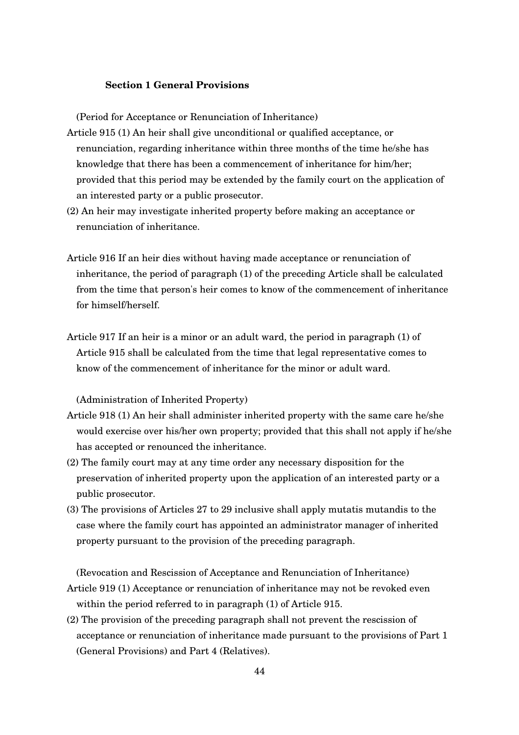## **Section 1 General Provisions**

(Period for Acceptance or Renunciation of Inheritance)

- Article 915 (1) An heir shall give unconditional or qualified acceptance, or renunciation, regarding inheritance within three months of the time he/she has knowledge that there has been a commencement of inheritance for him/her; provided that this period may be extended by the family court on the application of an interested party or a public prosecutor.
- (2) An heir may investigate inherited property before making an acceptance or renunciation of inheritance.
- Article 916 If an heir dies without having made acceptance or renunciation of inheritance, the period of paragraph (1) of the preceding Article shall be calculated from the time that person's heir comes to know of the commencement of inheritance for himself/herself.
- Article 917 If an heir is a minor or an adult ward, the period in paragraph (1) of Article 915 shall be calculated from the time that legal representative comes to know of the commencement of inheritance for the minor or adult ward.

(Administration of Inherited Property)

- Article 918 (1) An heir shall administer inherited property with the same care he/she would exercise over his/her own property; provided that this shall not apply if he/she has accepted or renounced the inheritance.
- (2) The family court may at any time order any necessary disposition for the preservation of inherited property upon the application of an interested party or a public prosecutor.
- (3) The provisions of Articles 27 to 29 inclusive shall apply mutatis mutandis to the case where the family court has appointed an administrator manager of inherited property pursuant to the provision of the preceding paragraph.

(Revocation and Rescission of Acceptance and Renunciation of Inheritance) Article 919 (1) Acceptance or renunciation of inheritance may not be revoked even

within the period referred to in paragraph (1) of Article 915.

(2) The provision of the preceding paragraph shall not prevent the rescission of acceptance or renunciation of inheritance made pursuant to the provisions of Part 1 (General Provisions) and Part 4 (Relatives).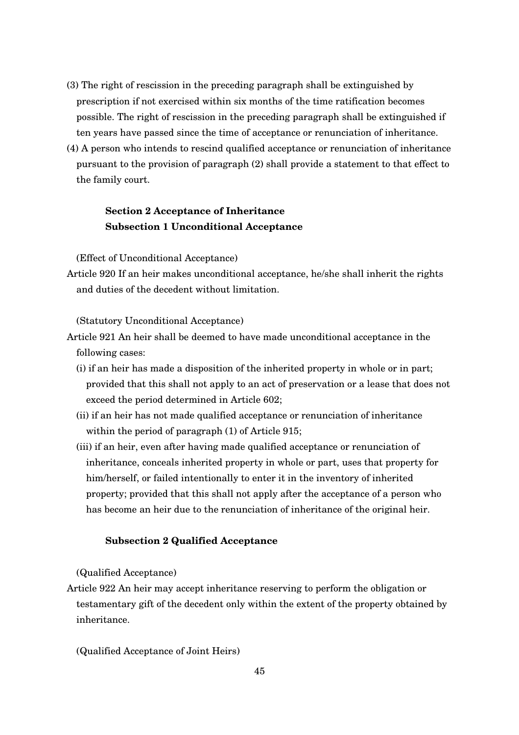- (3) The right of rescission in the preceding paragraph shall be extinguished by prescription if not exercised within six months of the time ratification becomes possible. The right of rescission in the preceding paragraph shall be extinguished if ten years have passed since the time of acceptance or renunciation of inheritance.
- (4) A person who intends to rescind qualified acceptance or renunciation of inheritance pursuant to the provision of paragraph (2) shall provide a statement to that effect to the family court.

## **Section 2 Acceptance of Inheritance Subsection 1 Unconditional Acceptance**

(Effect of Unconditional Acceptance)

Article 920 If an heir makes unconditional acceptance, he/she shall inherit the rights and duties of the decedent without limitation.

(Statutory Unconditional Acceptance)

- Article 921 An heir shall be deemed to have made unconditional acceptance in the following cases:
	- (i) if an heir has made a disposition of the inherited property in whole or in part; provided that this shall not apply to an act of preservation or a lease that does not exceed the period determined in Article 602;
	- (ii) if an heir has not made qualified acceptance or renunciation of inheritance within the period of paragraph (1) of Article 915;
	- (iii) if an heir, even after having made qualified acceptance or renunciation of inheritance, conceals inherited property in whole or part, uses that property for him/herself, or failed intentionally to enter it in the inventory of inherited property; provided that this shall not apply after the acceptance of a person who has become an heir due to the renunciation of inheritance of the original heir.

#### **Subsection 2 Qualified Acceptance**

(Qualified Acceptance)

Article 922 An heir may accept inheritance reserving to perform the obligation or testamentary gift of the decedent only within the extent of the property obtained by inheritance.

(Qualified Acceptance of Joint Heirs)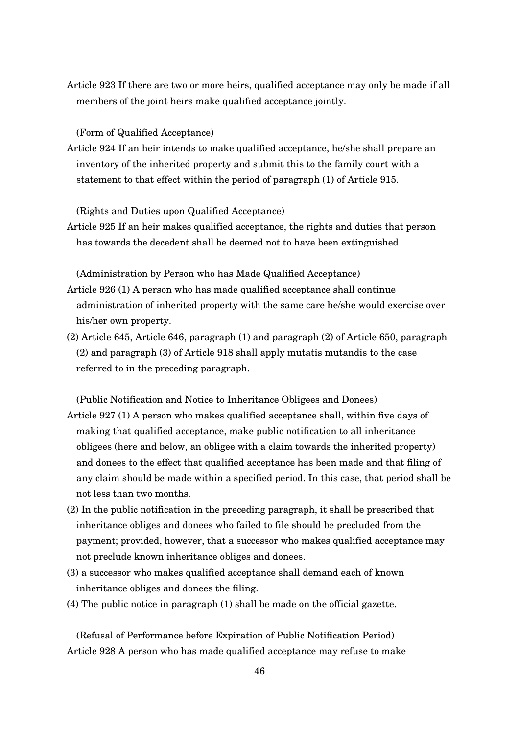Article 923 If there are two or more heirs, qualified acceptance may only be made if all members of the joint heirs make qualified acceptance jointly.

(Form of Qualified Acceptance)

Article 924 If an heir intends to make qualified acceptance, he/she shall prepare an inventory of the inherited property and submit this to the family court with a statement to that effect within the period of paragraph (1) of Article 915.

(Rights and Duties upon Qualified Acceptance)

Article 925 If an heir makes qualified acceptance, the rights and duties that person has towards the decedent shall be deemed not to have been extinguished.

(Administration by Person who has Made Qualified Acceptance)

- Article 926 (1) A person who has made qualified acceptance shall continue administration of inherited property with the same care he/she would exercise over his/her own property.
- (2) Article 645, Article 646, paragraph (1) and paragraph (2) of Article 650, paragraph (2) and paragraph (3) of Article 918 shall apply mutatis mutandis to the case referred to in the preceding paragraph.

(Public Notification and Notice to Inheritance Obligees and Donees)

- Article 927 (1) A person who makes qualified acceptance shall, within five days of making that qualified acceptance, make public notification to all inheritance obligees (here and below, an obligee with a claim towards the inherited property) and donees to the effect that qualified acceptance has been made and that filing of any claim should be made within a specified period. In this case, that period shall be not less than two months.
- (2) In the public notification in the preceding paragraph, it shall be prescribed that inheritance obliges and donees who failed to file should be precluded from the payment; provided, however, that a successor who makes qualified acceptance may not preclude known inheritance obliges and donees.
- (3) a successor who makes qualified acceptance shall demand each of known inheritance obliges and donees the filing.
- (4) The public notice in paragraph (1) shall be made on the official gazette.

(Refusal of Performance before Expiration of Public Notification Period) Article 928 A person who has made qualified acceptance may refuse to make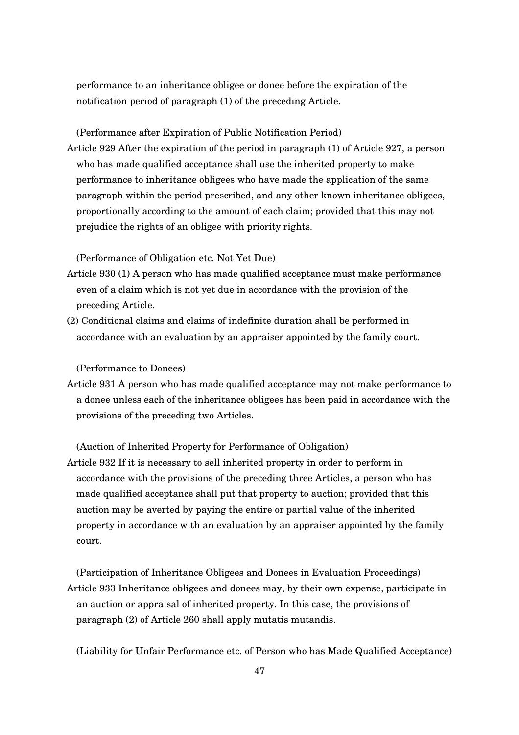performance to an inheritance obligee or donee before the expiration of the notification period of paragraph (1) of the preceding Article.

(Performance after Expiration of Public Notification Period)

Article 929 After the expiration of the period in paragraph (1) of Article 927, a person who has made qualified acceptance shall use the inherited property to make performance to inheritance obligees who have made the application of the same paragraph within the period prescribed, and any other known inheritance obligees, proportionally according to the amount of each claim; provided that this may not prejudice the rights of an obligee with priority rights.

(Performance of Obligation etc. Not Yet Due)

- Article 930 (1) A person who has made qualified acceptance must make performance even of a claim which is not yet due in accordance with the provision of the preceding Article.
- (2) Conditional claims and claims of indefinite duration shall be performed in accordance with an evaluation by an appraiser appointed by the family court.

(Performance to Donees)

Article 931 A person who has made qualified acceptance may not make performance to a donee unless each of the inheritance obligees has been paid in accordance with the provisions of the preceding two Articles.

(Auction of Inherited Property for Performance of Obligation)

Article 932 If it is necessary to sell inherited property in order to perform in accordance with the provisions of the preceding three Articles, a person who has made qualified acceptance shall put that property to auction; provided that this auction may be averted by paying the entire or partial value of the inherited property in accordance with an evaluation by an appraiser appointed by the family court.

(Participation of Inheritance Obligees and Donees in Evaluation Proceedings) Article 933 Inheritance obligees and donees may, by their own expense, participate in an auction or appraisal of inherited property. In this case, the provisions of paragraph (2) of Article 260 shall apply mutatis mutandis.

(Liability for Unfair Performance etc. of Person who has Made Qualified Acceptance)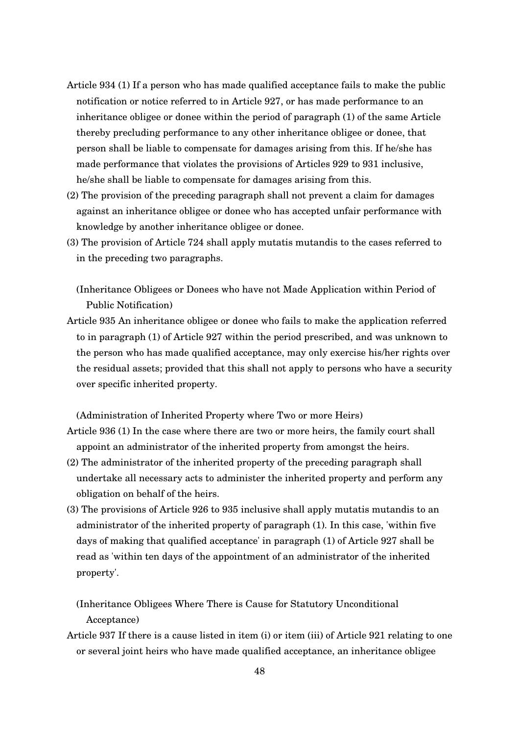- Article 934 (1) If a person who has made qualified acceptance fails to make the public notification or notice referred to in Article 927, or has made performance to an inheritance obligee or donee within the period of paragraph (1) of the same Article thereby precluding performance to any other inheritance obligee or donee, that person shall be liable to compensate for damages arising from this. If he/she has made performance that violates the provisions of Articles 929 to 931 inclusive, he/she shall be liable to compensate for damages arising from this.
- (2) The provision of the preceding paragraph shall not prevent a claim for damages against an inheritance obligee or donee who has accepted unfair performance with knowledge by another inheritance obligee or donee.
- (3) The provision of Article 724 shall apply mutatis mutandis to the cases referred to in the preceding two paragraphs.

(Inheritance Obligees or Donees who have not Made Application within Period of Public Notification)

Article 935 An inheritance obligee or donee who fails to make the application referred to in paragraph (1) of Article 927 within the period prescribed, and was unknown to the person who has made qualified acceptance, may only exercise his/her rights over the residual assets; provided that this shall not apply to persons who have a security over specific inherited property.

(Administration of Inherited Property where Two or more Heirs)

- Article 936 (1) In the case where there are two or more heirs, the family court shall appoint an administrator of the inherited property from amongst the heirs.
- (2) The administrator of the inherited property of the preceding paragraph shall undertake all necessary acts to administer the inherited property and perform any obligation on behalf of the heirs.
- (3) The provisions of Article 926 to 935 inclusive shall apply mutatis mutandis to an administrator of the inherited property of paragraph (1). In this case, 'within five days of making that qualified acceptance' in paragraph (1) of Article 927 shall be read as 'within ten days of the appointment of an administrator of the inherited property'.

(Inheritance Obligees Where There is Cause for Statutory Unconditional Acceptance)

Article 937 If there is a cause listed in item (i) or item (iii) of Article 921 relating to one or several joint heirs who have made qualified acceptance, an inheritance obligee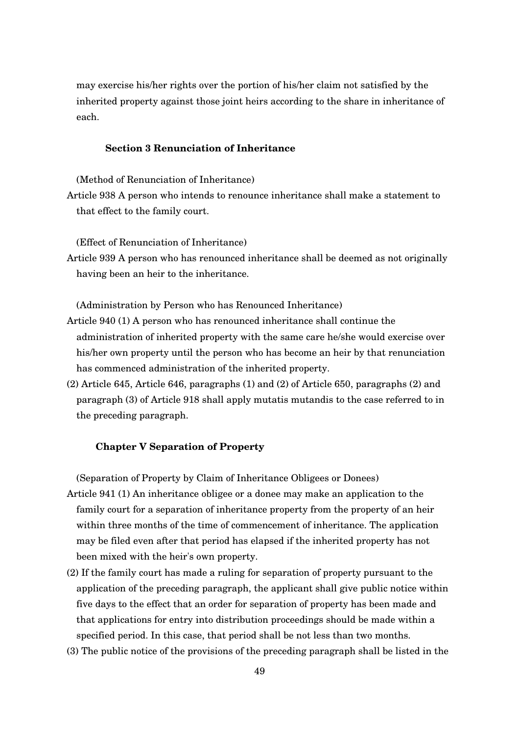may exercise his/her rights over the portion of his/her claim not satisfied by the inherited property against those joint heirs according to the share in inheritance of each.

## **Section 3 Renunciation of Inheritance**

(Method of Renunciation of Inheritance)

Article 938 A person who intends to renounce inheritance shall make a statement to that effect to the family court.

(Effect of Renunciation of Inheritance)

Article 939 A person who has renounced inheritance shall be deemed as not originally having been an heir to the inheritance.

(Administration by Person who has Renounced Inheritance)

- Article 940 (1) A person who has renounced inheritance shall continue the administration of inherited property with the same care he/she would exercise over his/her own property until the person who has become an heir by that renunciation has commenced administration of the inherited property.
- (2) Article 645, Article 646, paragraphs (1) and (2) of Article 650, paragraphs (2) and paragraph (3) of Article 918 shall apply mutatis mutandis to the case referred to in the preceding paragraph.

## **Chapter V Separation of Property**

(Separation of Property by Claim of Inheritance Obligees or Donees)

- Article 941 (1) An inheritance obligee or a donee may make an application to the family court for a separation of inheritance property from the property of an heir within three months of the time of commencement of inheritance. The application may be filed even after that period has elapsed if the inherited property has not been mixed with the heir's own property.
- (2) If the family court has made a ruling for separation of property pursuant to the application of the preceding paragraph, the applicant shall give public notice within five days to the effect that an order for separation of property has been made and that applications for entry into distribution proceedings should be made within a specified period. In this case, that period shall be not less than two months.
- (3) The public notice of the provisions of the preceding paragraph shall be listed in the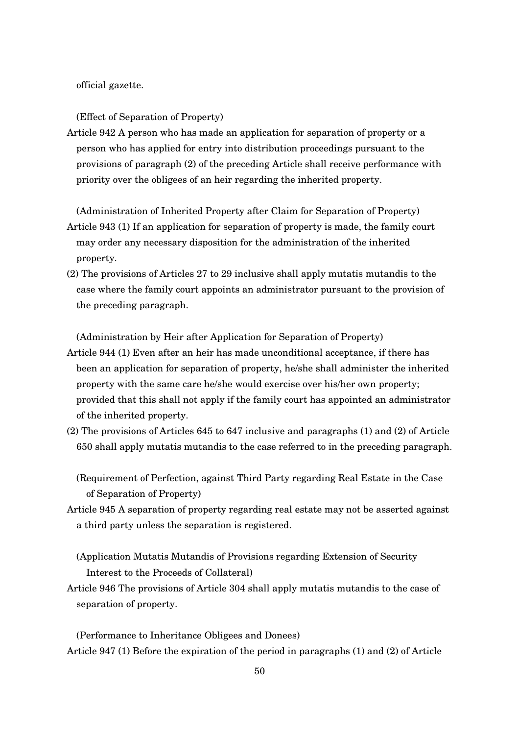official gazette.

#### (Effect of Separation of Property)

Article 942 A person who has made an application for separation of property or a person who has applied for entry into distribution proceedings pursuant to the provisions of paragraph (2) of the preceding Article shall receive performance with priority over the obligees of an heir regarding the inherited property.

(Administration of Inherited Property after Claim for Separation of Property) Article 943 (1) If an application for separation of property is made, the family court may order any necessary disposition for the administration of the inherited property.

(2) The provisions of Articles 27 to 29 inclusive shall apply mutatis mutandis to the case where the family court appoints an administrator pursuant to the provision of the preceding paragraph.

(Administration by Heir after Application for Separation of Property)

- Article 944 (1) Even after an heir has made unconditional acceptance, if there has been an application for separation of property, he/she shall administer the inherited property with the same care he/she would exercise over his/her own property; provided that this shall not apply if the family court has appointed an administrator of the inherited property.
- (2) The provisions of Articles 645 to 647 inclusive and paragraphs (1) and (2) of Article 650 shall apply mutatis mutandis to the case referred to in the preceding paragraph.

(Requirement of Perfection, against Third Party regarding Real Estate in the Case of Separation of Property)

Article 945 A separation of property regarding real estate may not be asserted against a third party unless the separation is registered.

(Application Mutatis Mutandis of Provisions regarding Extension of Security Interest to the Proceeds of Collateral)

Article 946 The provisions of Article 304 shall apply mutatis mutandis to the case of separation of property.

(Performance to Inheritance Obligees and Donees) Article 947 (1) Before the expiration of the period in paragraphs (1) and (2) of Article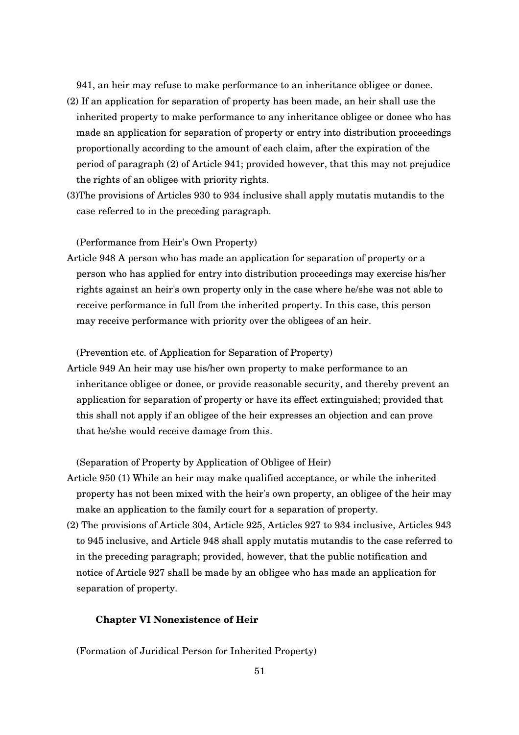941, an heir may refuse to make performance to an inheritance obligee or donee.

- (2) If an application for separation of property has been made, an heir shall use the inherited property to make performance to any inheritance obligee or donee who has made an application for separation of property or entry into distribution proceedings proportionally according to the amount of each claim, after the expiration of the period of paragraph (2) of Article 941; provided however, that this may not prejudice the rights of an obligee with priority rights.
- (3)The provisions of Articles 930 to 934 inclusive shall apply mutatis mutandis to the case referred to in the preceding paragraph.

(Performance from Heir's Own Property)

Article 948 A person who has made an application for separation of property or a person who has applied for entry into distribution proceedings may exercise his/her rights against an heir's own property only in the case where he/she was not able to receive performance in full from the inherited property. In this case, this person may receive performance with priority over the obligees of an heir.

#### (Prevention etc. of Application for Separation of Property)

Article 949 An heir may use his/her own property to make performance to an inheritance obligee or donee, or provide reasonable security, and thereby prevent an application for separation of property or have its effect extinguished; provided that this shall not apply if an obligee of the heir expresses an objection and can prove that he/she would receive damage from this.

#### (Separation of Property by Application of Obligee of Heir)

- Article 950 (1) While an heir may make qualified acceptance, or while the inherited property has not been mixed with the heir's own property, an obligee of the heir may make an application to the family court for a separation of property.
- (2) The provisions of Article 304, Article 925, Articles 927 to 934 inclusive, Articles 943 to 945 inclusive, and Article 948 shall apply mutatis mutandis to the case referred to in the preceding paragraph; provided, however, that the public notification and notice of Article 927 shall be made by an obligee who has made an application for separation of property.

#### **Chapter VI Nonexistence of Heir**

(Formation of Juridical Person for Inherited Property)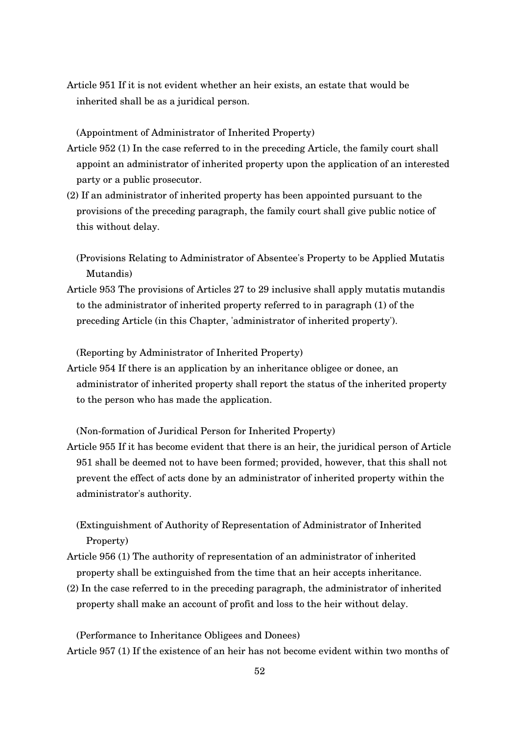Article 951 If it is not evident whether an heir exists, an estate that would be inherited shall be as a juridical person.

(Appointment of Administrator of Inherited Property)

- Article 952 (1) In the case referred to in the preceding Article, the family court shall appoint an administrator of inherited property upon the application of an interested party or a public prosecutor.
- (2) If an administrator of inherited property has been appointed pursuant to the provisions of the preceding paragraph, the family court shall give public notice of this without delay.

(Provisions Relating to Administrator of Absentee's Property to be Applied Mutatis Mutandis)

Article 953 The provisions of Articles 27 to 29 inclusive shall apply mutatis mutandis to the administrator of inherited property referred to in paragraph (1) of the preceding Article (in this Chapter, 'administrator of inherited property').

(Reporting by Administrator of Inherited Property)

Article 954 If there is an application by an inheritance obligee or donee, an administrator of inherited property shall report the status of the inherited property to the person who has made the application.

(Non-formation of Juridical Person for Inherited Property)

Article 955 If it has become evident that there is an heir, the juridical person of Article 951 shall be deemed not to have been formed; provided, however, that this shall not prevent the effect of acts done by an administrator of inherited property within the administrator's authority.

(Extinguishment of Authority of Representation of Administrator of Inherited Property)

- Article 956 (1) The authority of representation of an administrator of inherited property shall be extinguished from the time that an heir accepts inheritance.
- (2) In the case referred to in the preceding paragraph, the administrator of inherited property shall make an account of profit and loss to the heir without delay.

(Performance to Inheritance Obligees and Donees) Article 957 (1) If the existence of an heir has not become evident within two months of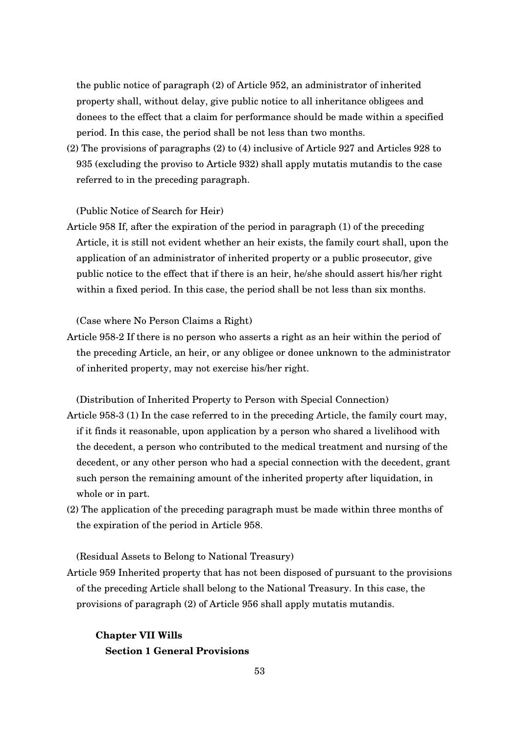the public notice of paragraph (2) of Article 952, an administrator of inherited property shall, without delay, give public notice to all inheritance obligees and donees to the effect that a claim for performance should be made within a specified period. In this case, the period shall be not less than two months.

(2) The provisions of paragraphs (2) to (4) inclusive of Article 927 and Articles 928 to 935 (excluding the proviso to Article 932) shall apply mutatis mutandis to the case referred to in the preceding paragraph.

## (Public Notice of Search for Heir)

Article 958 If, after the expiration of the period in paragraph (1) of the preceding Article, it is still not evident whether an heir exists, the family court shall, upon the application of an administrator of inherited property or a public prosecutor, give public notice to the effect that if there is an heir, he/she should assert his/her right within a fixed period. In this case, the period shall be not less than six months.

(Case where No Person Claims a Right)

Article 9582 If there is no person who asserts a right as an heir within the period of the preceding Article, an heir, or any obligee or donee unknown to the administrator of inherited property, may not exercise his/her right.

(Distribution of Inherited Property to Person with Special Connection)

- Article 9583 (1) In the case referred to in the preceding Article, the family court may, if it finds it reasonable, upon application by a person who shared a livelihood with the decedent, a person who contributed to the medical treatment and nursing of the decedent, or any other person who had a special connection with the decedent, grant such person the remaining amount of the inherited property after liquidation, in whole or in part.
- (2) The application of the preceding paragraph must be made within three months of the expiration of the period in Article 958.

(Residual Assets to Belong to National Treasury)

Article 959 Inherited property that has not been disposed of pursuant to the provisions of the preceding Article shall belong to the National Treasury. In this case, the provisions of paragraph (2) of Article 956 shall apply mutatis mutandis.

# **Chapter VII Wills Section 1 General Provisions**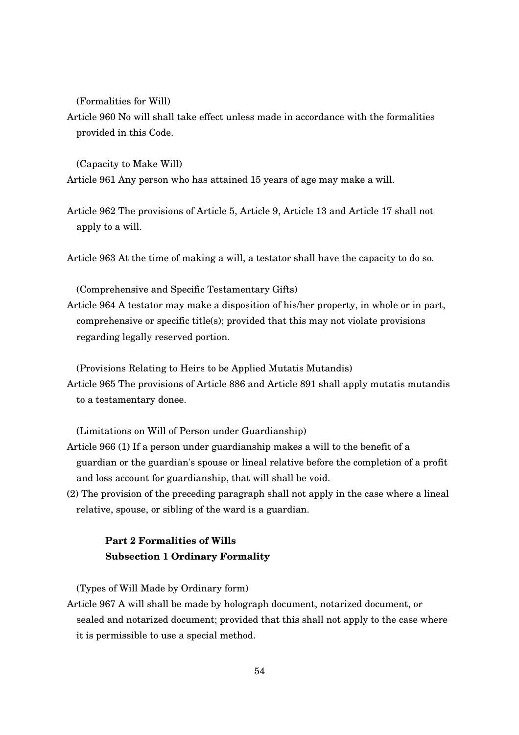(Formalities for Will)

Article 960 No will shall take effect unless made in accordance with the formalities provided in this Code.

(Capacity to Make Will)

Article 961 Any person who has attained 15 years of age may make a will.

Article 962 The provisions of Article 5, Article 9, Article 13 and Article 17 shall not apply to a will.

Article 963 At the time of making a will, a testator shall have the capacity to do so.

(Comprehensive and Specific Testamentary Gifts)

Article 964 A testator may make a disposition of his/her property, in whole or in part, comprehensive or specific title(s); provided that this may not violate provisions regarding legally reserved portion.

(Provisions Relating to Heirs to be Applied Mutatis Mutandis)

Article 965 The provisions of Article 886 and Article 891 shall apply mutatis mutandis to a testamentary donee.

(Limitations on Will of Person under Guardianship)

- Article 966 (1) If a person under guardianship makes a will to the benefit of a guardian or the guardian's spouse or lineal relative before the completion of a profit and loss account for guardianship, that will shall be void.
- (2) The provision of the preceding paragraph shall not apply in the case where a lineal relative, spouse, or sibling of the ward is a guardian.

# **Part 2 Formalities of Wills Subsection 1 Ordinary Formality**

(Types of Will Made by Ordinary form)

Article 967 A will shall be made by holograph document, notarized document, or sealed and notarized document; provided that this shall not apply to the case where it is permissible to use a special method.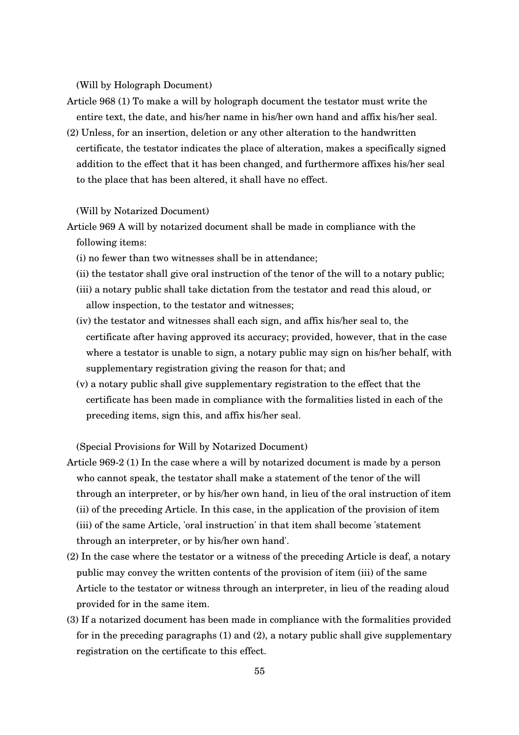(Will by Holograph Document)

- Article 968 (1) To make a will by holograph document the testator must write the entire text, the date, and his/her name in his/her own hand and affix his/her seal.
- (2) Unless, for an insertion, deletion or any other alteration to the handwritten certificate, the testator indicates the place of alteration, makes a specifically signed addition to the effect that it has been changed, and furthermore affixes his/her seal to the place that has been altered, it shall have no effect.

#### (Will by Notarized Document)

- Article 969 A will by notarized document shall be made in compliance with the following items:
	- (i) no fewer than two witnesses shall be in attendance;
	- (ii) the testator shall give oral instruction of the tenor of the will to a notary public;
	- (iii) a notary public shall take dictation from the testator and read this aloud, or allow inspection, to the testator and witnesses;
	- (iv) the testator and witnesses shall each sign, and affix his/her seal to, the certificate after having approved its accuracy; provided, however, that in the case where a testator is unable to sign, a notary public may sign on his/her behalf, with supplementary registration giving the reason for that; and
	- (v) a notary public shall give supplementary registration to the effect that the certificate has been made in compliance with the formalities listed in each of the preceding items, sign this, and affix his/her seal.

(Special Provisions for Will by Notarized Document)

- Article 9692 (1) In the case where a will by notarized document is made by a person who cannot speak, the testator shall make a statement of the tenor of the will through an interpreter, or by his/her own hand, in lieu of the oral instruction of item (ii) of the preceding Article. In this case, in the application of the provision of item (iii) of the same Article, 'oral instruction' in that item shall become 'statement through an interpreter, or by his/her own hand'.
- (2) In the case where the testator or a witness of the preceding Article is deaf, a notary public may convey the written contents of the provision of item (iii) of the same Article to the testator or witness through an interpreter, in lieu of the reading aloud provided for in the same item.
- (3) If a notarized document has been made in compliance with the formalities provided for in the preceding paragraphs (1) and (2), a notary public shall give supplementary registration on the certificate to this effect.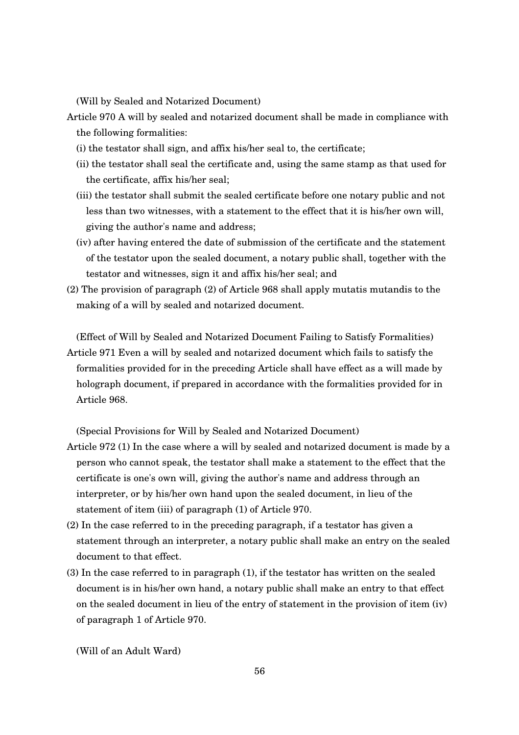(Will by Sealed and Notarized Document)

- Article 970 A will by sealed and notarized document shall be made in compliance with the following formalities:
	- (i) the testator shall sign, and affix his/her seal to, the certificate;
	- (ii) the testator shall seal the certificate and, using the same stamp as that used for the certificate, affix his/her seal;
	- (iii) the testator shall submit the sealed certificate before one notary public and not less than two witnesses, with a statement to the effect that it is his/her own will, giving the author's name and address;
	- (iv) after having entered the date of submission of the certificate and the statement of the testator upon the sealed document, a notary public shall, together with the testator and witnesses, sign it and affix his/her seal; and
- (2) The provision of paragraph (2) of Article 968 shall apply mutatis mutandis to the making of a will by sealed and notarized document.

(Effect of Will by Sealed and Notarized Document Failing to Satisfy Formalities) Article 971 Even a will by sealed and notarized document which fails to satisfy the formalities provided for in the preceding Article shall have effect as a will made by holograph document, if prepared in accordance with the formalities provided for in Article 968.

(Special Provisions for Will by Sealed and Notarized Document)

- Article 972 (1) In the case where a will by sealed and notarized document is made by a person who cannot speak, the testator shall make a statement to the effect that the certificate is one's own will, giving the author's name and address through an interpreter, or by his/her own hand upon the sealed document, in lieu of the statement of item (iii) of paragraph (1) of Article 970.
- (2) In the case referred to in the preceding paragraph, if a testator has given a statement through an interpreter, a notary public shall make an entry on the sealed document to that effect.
- (3) In the case referred to in paragraph (1), if the testator has written on the sealed document is in his/her own hand, a notary public shall make an entry to that effect on the sealed document in lieu of the entry of statement in the provision of item (iv) of paragraph 1 of Article 970.

(Will of an Adult Ward)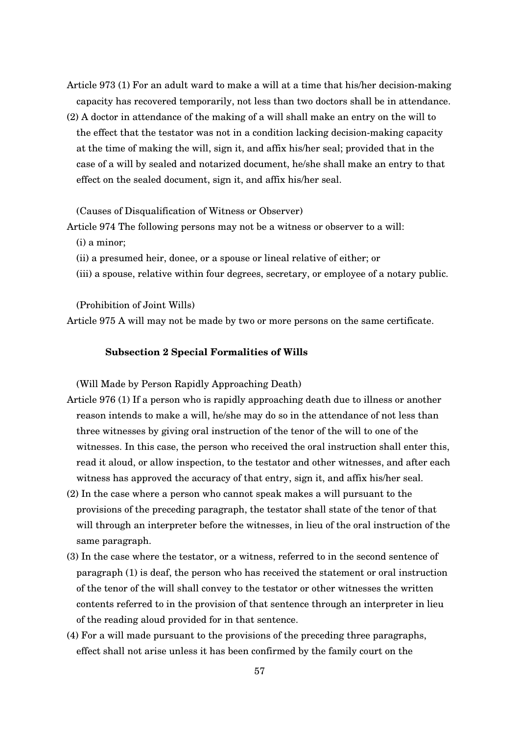- Article 973 (1) For an adult ward to make a will at a time that his/her decision-making capacity has recovered temporarily, not less than two doctors shall be in attendance.
- (2) A doctor in attendance of the making of a will shall make an entry on the will to the effect that the testator was not in a condition lacking decision-making capacity at the time of making the will, sign it, and affix his/her seal; provided that in the case of a will by sealed and notarized document, he/she shall make an entry to that effect on the sealed document, sign it, and affix his/her seal.

(Causes of Disqualification of Witness or Observer)

Article 974 The following persons may not be a witness or observer to a will:

- (i) a minor;
- (ii) a presumed heir, donee, or a spouse or lineal relative of either; or
- (iii) a spouse, relative within four degrees, secretary, or employee of a notary public.

(Prohibition of Joint Wills)

Article 975 A will may not be made by two or more persons on the same certificate.

#### **Subsection 2 Special Formalities of Wills**

(Will Made by Person Rapidly Approaching Death)

- Article 976 (1) If a person who is rapidly approaching death due to illness or another reason intends to make a will, he/she may do so in the attendance of not less than three witnesses by giving oral instruction of the tenor of the will to one of the witnesses. In this case, the person who received the oral instruction shall enter this, read it aloud, or allow inspection, to the testator and other witnesses, and after each witness has approved the accuracy of that entry, sign it, and affix his/her seal.
- (2) In the case where a person who cannot speak makes a will pursuant to the provisions of the preceding paragraph, the testator shall state of the tenor of that will through an interpreter before the witnesses, in lieu of the oral instruction of the same paragraph.
- (3) In the case where the testator, or a witness, referred to in the second sentence of paragraph (1) is deaf, the person who has received the statement or oral instruction of the tenor of the will shall convey to the testator or other witnesses the written contents referred to in the provision of that sentence through an interpreter in lieu of the reading aloud provided for in that sentence.
- (4) For a will made pursuant to the provisions of the preceding three paragraphs, effect shall not arise unless it has been confirmed by the family court on the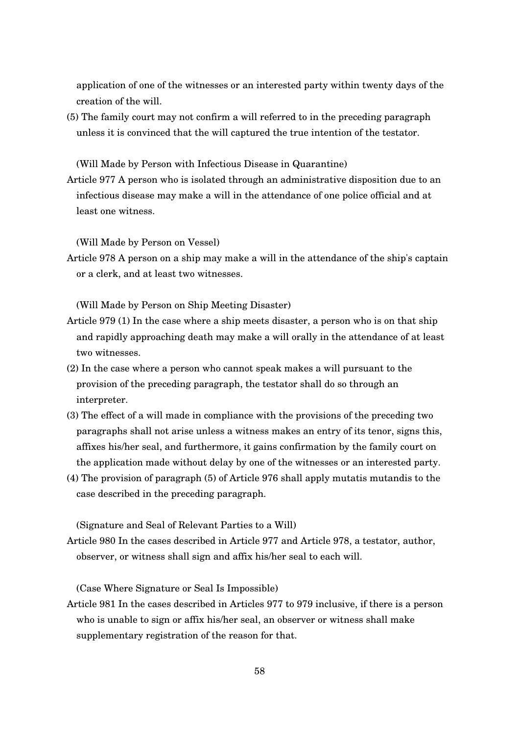application of one of the witnesses or an interested party within twenty days of the creation of the will.

(5) The family court may not confirm a will referred to in the preceding paragraph unless it is convinced that the will captured the true intention of the testator.

(Will Made by Person with Infectious Disease in Quarantine)

Article 977 A person who is isolated through an administrative disposition due to an infectious disease may make a will in the attendance of one police official and at least one witness.

(Will Made by Person on Vessel)

Article 978 A person on a ship may make a will in the attendance of the ship's captain or a clerk, and at least two witnesses.

(Will Made by Person on Ship Meeting Disaster)

- Article 979 (1) In the case where a ship meets disaster, a person who is on that ship and rapidly approaching death may make a will orally in the attendance of at least two witnesses.
- (2) In the case where a person who cannot speak makes a will pursuant to the provision of the preceding paragraph, the testator shall do so through an interpreter.
- (3) The effect of a will made in compliance with the provisions of the preceding two paragraphs shall not arise unless a witness makes an entry of its tenor, signs this, affixes his/her seal, and furthermore, it gains confirmation by the family court on the application made without delay by one of the witnesses or an interested party.
- (4) The provision of paragraph (5) of Article 976 shall apply mutatis mutandis to the case described in the preceding paragraph.

(Signature and Seal of Relevant Parties to a Will)

Article 980 In the cases described in Article 977 and Article 978, a testator, author, observer, or witness shall sign and affix his/her seal to each will.

(Case Where Signature or Seal Is Impossible)

Article 981 In the cases described in Articles 977 to 979 inclusive, if there is a person who is unable to sign or affix his/her seal, an observer or witness shall make supplementary registration of the reason for that.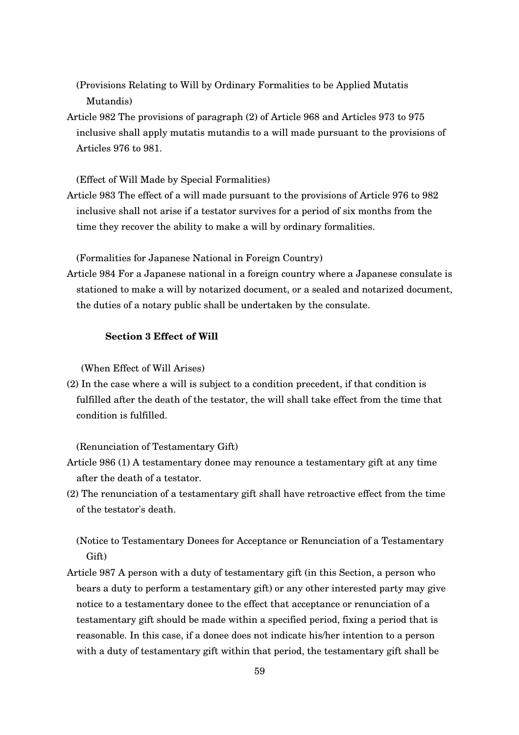(Provisions Relating to Will by Ordinary Formalities to be Applied Mutatis Mutandis)

Article 982 The provisions of paragraph (2) of Article 968 and Articles 973 to 975 inclusive shall apply mutatis mutandis to a will made pursuant to the provisions of Articles 976 to 981.

(Effect of Will Made by Special Formalities)

Article 983 The effect of a will made pursuant to the provisions of Article 976 to 982 inclusive shall not arise if a testator survives for a period of six months from the time they recover the ability to make a will by ordinary formalities.

(Formalities for Japanese National in Foreign Country)

Article 984 For a Japanese national in a foreign country where a Japanese consulate is stationed to make a will by notarized document, or a sealed and notarized document, the duties of a notary public shall be undertaken by the consulate.

## **Section 3 Effect of Will**

(When Effect of Will Arises)

(2) In the case where a will is subject to a condition precedent, if that condition is fulfilled after the death of the testator, the will shall take effect from the time that condition is fulfilled.

(Renunciation of Testamentary Gift)

- Article 986 (1) A testamentary donee may renounce a testamentary gift at any time after the death of a testator.
- (2) The renunciation of a testamentary gift shall have retroactive effect from the time of the testator's death.

(Notice to Testamentary Donees for Acceptance or Renunciation of a Testamentary Gift)

Article 987 A person with a duty of testamentary gift (in this Section, a person who bears a duty to perform a testamentary gift) or any other interested party may give notice to a testamentary donee to the effect that acceptance or renunciation of a testamentary gift should be made within a specified period, fixing a period that is reasonable. In this case, if a donee does not indicate his/her intention to a person with a duty of testamentary gift within that period, the testamentary gift shall be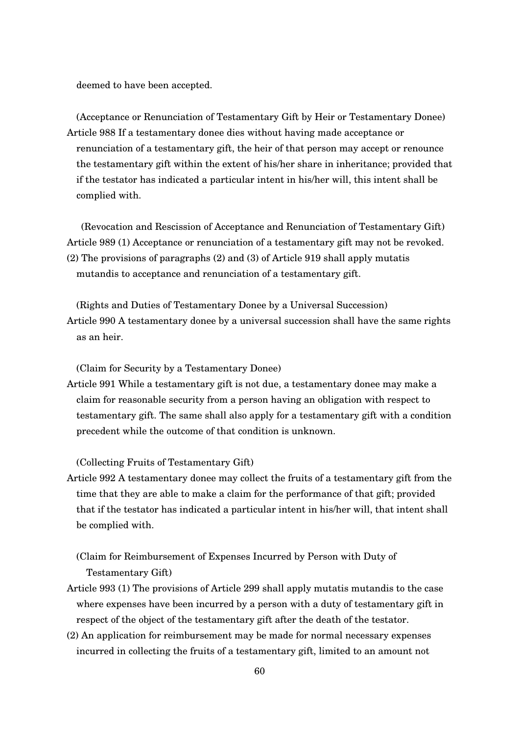deemed to have been accepted.

(Acceptance or Renunciation of Testamentary Gift by Heir or Testamentary Donee) Article 988 If a testamentary donee dies without having made acceptance or renunciation of a testamentary gift, the heir of that person may accept or renounce the testamentary gift within the extent of his/her share in inheritance; provided that if the testator has indicated a particular intent in his/her will, this intent shall be complied with.

(Revocation and Rescission of Acceptance and Renunciation of Testamentary Gift) Article 989 (1) Acceptance or renunciation of a testamentary gift may not be revoked. (2) The provisions of paragraphs (2) and (3) of Article 919 shall apply mutatis mutandis to acceptance and renunciation of a testamentary gift.

(Rights and Duties of Testamentary Donee by a Universal Succession) Article 990 A testamentary donee by a universal succession shall have the same rights as an heir.

(Claim for Security by a Testamentary Donee)

Article 991 While a testamentary gift is not due, a testamentary donee may make a claim for reasonable security from a person having an obligation with respect to testamentary gift. The same shall also apply for a testamentary gift with a condition precedent while the outcome of that condition is unknown.

(Collecting Fruits of Testamentary Gift)

Article 992 A testamentary donee may collect the fruits of a testamentary gift from the time that they are able to make a claim for the performance of that gift; provided that if the testator has indicated a particular intent in his/her will, that intent shall be complied with.

(Claim for Reimbursement of Expenses Incurred by Person with Duty of Testamentary Gift)

- Article 993 (1) The provisions of Article 299 shall apply mutatis mutandis to the case where expenses have been incurred by a person with a duty of testamentary gift in respect of the object of the testamentary gift after the death of the testator.
- (2) An application for reimbursement may be made for normal necessary expenses incurred in collecting the fruits of a testamentary gift, limited to an amount not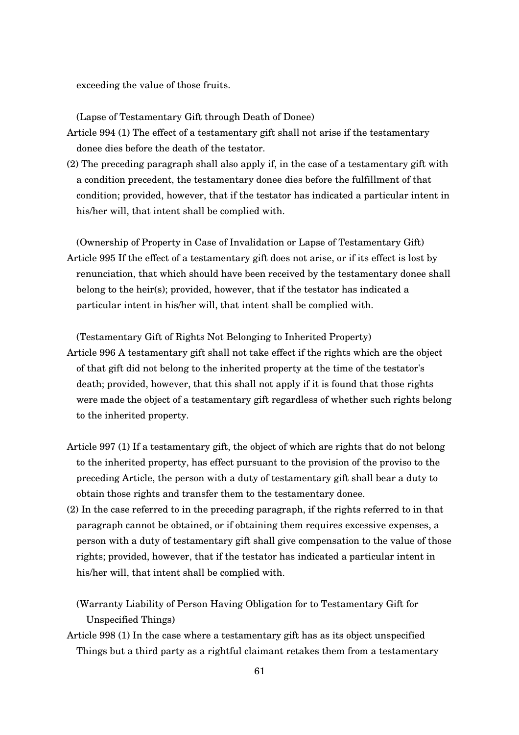exceeding the value of those fruits.

(Lapse of Testamentary Gift through Death of Donee)

- Article 994 (1) The effect of a testamentary gift shall not arise if the testamentary donee dies before the death of the testator.
- (2) The preceding paragraph shall also apply if, in the case of a testamentary gift with a condition precedent, the testamentary donee dies before the fulfillment of that condition; provided, however, that if the testator has indicated a particular intent in his/her will, that intent shall be complied with.

(Ownership of Property in Case of Invalidation or Lapse of Testamentary Gift) Article 995 If the effect of a testamentary gift does not arise, or if its effect is lost by renunciation, that which should have been received by the testamentary donee shall belong to the heir(s); provided, however, that if the testator has indicated a particular intent in his/her will, that intent shall be complied with.

(Testamentary Gift of Rights Not Belonging to Inherited Property) Article 996 A testamentary gift shall not take effect if the rights which are the object of that gift did not belong to the inherited property at the time of the testator's death; provided, however, that this shall not apply if it is found that those rights were made the object of a testamentary gift regardless of whether such rights belong to the inherited property.

- Article 997 (1) If a testamentary gift, the object of which are rights that do not belong to the inherited property, has effect pursuant to the provision of the proviso to the preceding Article, the person with a duty of testamentary gift shall bear a duty to obtain those rights and transfer them to the testamentary donee.
- (2) In the case referred to in the preceding paragraph, if the rights referred to in that paragraph cannot be obtained, or if obtaining them requires excessive expenses, a person with a duty of testamentary gift shall give compensation to the value of those rights; provided, however, that if the testator has indicated a particular intent in his/her will, that intent shall be complied with.

(Warranty Liability of Person Having Obligation for to Testamentary Gift for Unspecified Things)

Article 998 (1) In the case where a testamentary gift has as its object unspecified Things but a third party as a rightful claimant retakes them from a testamentary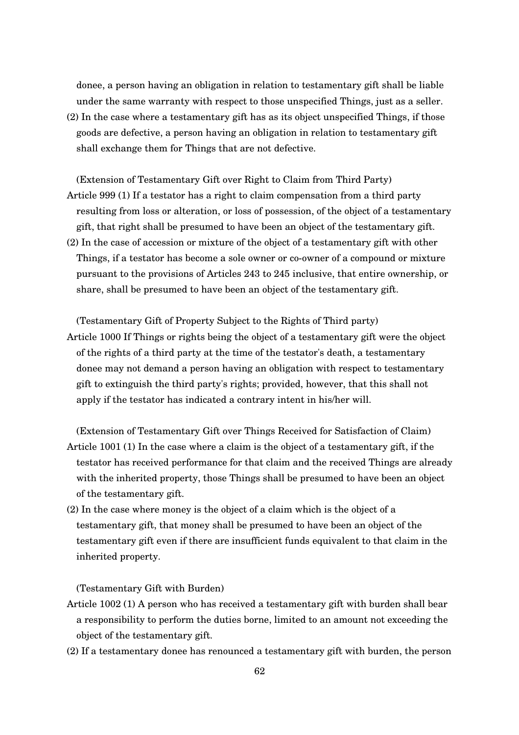donee, a person having an obligation in relation to testamentary gift shall be liable under the same warranty with respect to those unspecified Things, just as a seller.

(2) In the case where a testamentary gift has as its object unspecified Things, if those goods are defective, a person having an obligation in relation to testamentary gift shall exchange them for Things that are not defective.

(Extension of Testamentary Gift over Right to Claim from Third Party) Article 999 (1) If a testator has a right to claim compensation from a third party resulting from loss or alteration, or loss of possession, of the object of a testamentary gift, that right shall be presumed to have been an object of the testamentary gift. (2) In the case of accession or mixture of the object of a testamentary gift with other Things, if a testator has become a sole owner or co-owner of a compound or mixture pursuant to the provisions of Articles 243 to 245 inclusive, that entire ownership, or

(Testamentary Gift of Property Subject to the Rights of Third party)

share, shall be presumed to have been an object of the testamentary gift.

Article 1000 If Things or rights being the object of a testamentary gift were the object of the rights of a third party at the time of the testator's death, a testamentary donee may not demand a person having an obligation with respect to testamentary gift to extinguish the third party's rights; provided, however, that this shall not apply if the testator has indicated a contrary intent in his/her will.

(Extension of Testamentary Gift over Things Received for Satisfaction of Claim)

- Article 1001 (1) In the case where a claim is the object of a testamentary gift, if the testator has received performance for that claim and the received Things are already with the inherited property, those Things shall be presumed to have been an object of the testamentary gift.
- (2) In the case where money is the object of a claim which is the object of a testamentary gift, that money shall be presumed to have been an object of the testamentary gift even if there are insufficient funds equivalent to that claim in the inherited property.

(Testamentary Gift with Burden)

- Article 1002 (1) A person who has received a testamentary gift with burden shall bear a responsibility to perform the duties borne, limited to an amount not exceeding the object of the testamentary gift.
- (2) If a testamentary donee has renounced a testamentary gift with burden, the person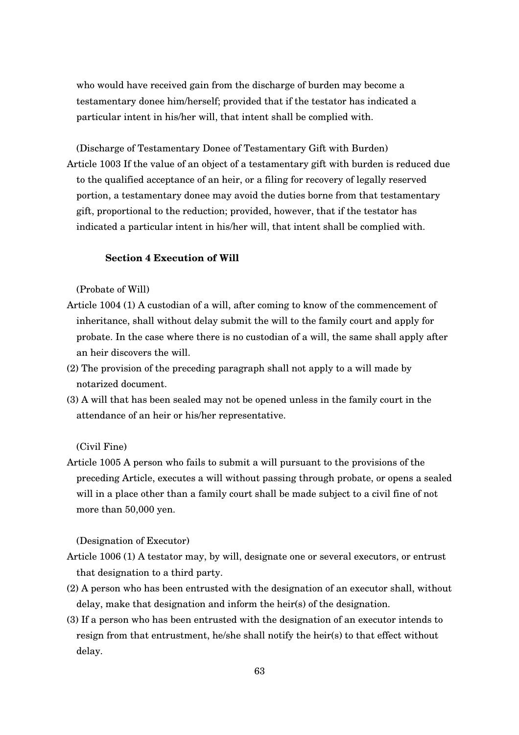who would have received gain from the discharge of burden may become a testamentary donee him/herself; provided that if the testator has indicated a particular intent in his/her will, that intent shall be complied with.

(Discharge of Testamentary Donee of Testamentary Gift with Burden) Article 1003 If the value of an object of a testamentary gift with burden is reduced due to the qualified acceptance of an heir, or a filing for recovery of legally reserved portion, a testamentary donee may avoid the duties borne from that testamentary gift, proportional to the reduction; provided, however, that if the testator has indicated a particular intent in his/her will, that intent shall be complied with.

## **Section 4 Execution of Will**

(Probate of Will)

- Article 1004 (1) A custodian of a will, after coming to know of the commencement of inheritance, shall without delay submit the will to the family court and apply for probate. In the case where there is no custodian of a will, the same shall apply after an heir discovers the will.
- (2) The provision of the preceding paragraph shall not apply to a will made by notarized document.
- (3) A will that has been sealed may not be opened unless in the family court in the attendance of an heir or his/her representative.

(Civil Fine)

Article 1005 A person who fails to submit a will pursuant to the provisions of the preceding Article, executes a will without passing through probate, or opens a sealed will in a place other than a family court shall be made subject to a civil fine of not more than 50,000 yen.

(Designation of Executor)

- Article 1006 (1) A testator may, by will, designate one or several executors, or entrust that designation to a third party.
- (2) A person who has been entrusted with the designation of an executor shall, without delay, make that designation and inform the heir(s) of the designation.
- (3) If a person who has been entrusted with the designation of an executor intends to resign from that entrustment, he/she shall notify the heir(s) to that effect without delay.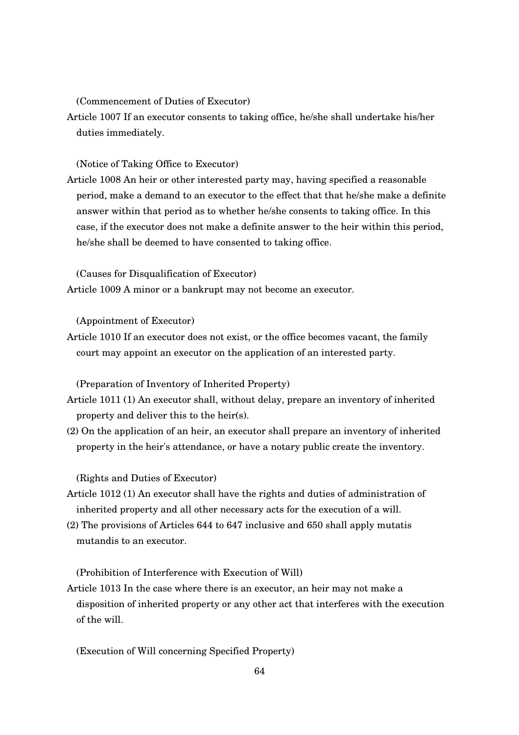(Commencement of Duties of Executor)

Article 1007 If an executor consents to taking office, he/she shall undertake his/her duties immediately.

(Notice of Taking Office to Executor)

Article 1008 An heir or other interested party may, having specified a reasonable period, make a demand to an executor to the effect that that he/she make a definite answer within that period as to whether he/she consents to taking office. In this case, if the executor does not make a definite answer to the heir within this period, he/she shall be deemed to have consented to taking office.

(Causes for Disqualification of Executor)

Article 1009 A minor or a bankrupt may not become an executor.

(Appointment of Executor)

Article 1010 If an executor does not exist, or the office becomes vacant, the family court may appoint an executor on the application of an interested party.

(Preparation of Inventory of Inherited Property)

- Article 1011 (1) An executor shall, without delay, prepare an inventory of inherited property and deliver this to the heir(s).
- (2) On the application of an heir, an executor shall prepare an inventory of inherited property in the heir's attendance, or have a notary public create the inventory.

(Rights and Duties of Executor)

- Article 1012 (1) An executor shall have the rights and duties of administration of inherited property and all other necessary acts for the execution of a will.
- (2) The provisions of Articles 644 to 647 inclusive and 650 shall apply mutatis mutandis to an executor.

(Prohibition of Interference with Execution of Will)

Article 1013 In the case where there is an executor, an heir may not make a disposition of inherited property or any other act that interferes with the execution of the will.

(Execution of Will concerning Specified Property)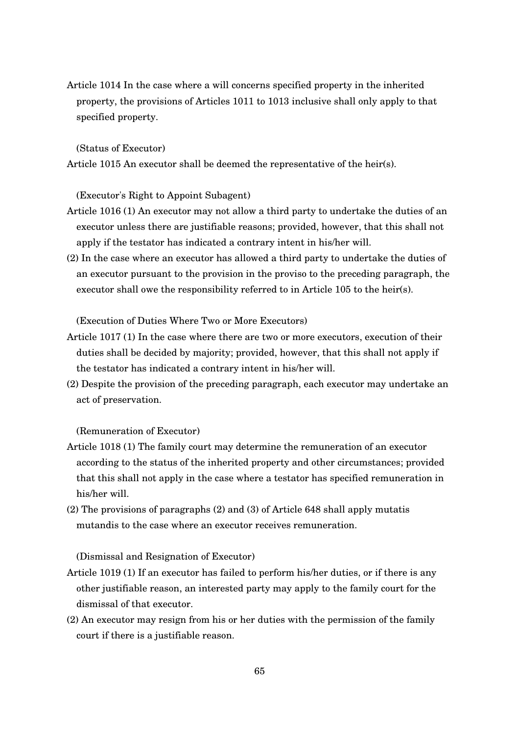Article 1014 In the case where a will concerns specified property in the inherited property, the provisions of Articles 1011 to 1013 inclusive shall only apply to that specified property.

(Status of Executor)

Article 1015 An executor shall be deemed the representative of the heir(s).

(Executor's Right to Appoint Subagent)

- Article 1016 (1) An executor may not allow a third party to undertake the duties of an executor unless there are justifiable reasons; provided, however, that this shall not apply if the testator has indicated a contrary intent in his/her will.
- (2) In the case where an executor has allowed a third party to undertake the duties of an executor pursuant to the provision in the proviso to the preceding paragraph, the executor shall owe the responsibility referred to in Article 105 to the heir(s).

(Execution of Duties Where Two or More Executors)

- Article 1017 (1) In the case where there are two or more executors, execution of their duties shall be decided by majority; provided, however, that this shall not apply if the testator has indicated a contrary intent in his/her will.
- (2) Despite the provision of the preceding paragraph, each executor may undertake an act of preservation.

(Remuneration of Executor)

- Article 1018 (1) The family court may determine the remuneration of an executor according to the status of the inherited property and other circumstances; provided that this shall not apply in the case where a testator has specified remuneration in his/her will.
- (2) The provisions of paragraphs (2) and (3) of Article 648 shall apply mutatis mutandis to the case where an executor receives remuneration.

(Dismissal and Resignation of Executor)

- Article 1019 (1) If an executor has failed to perform his/her duties, or if there is any other justifiable reason, an interested party may apply to the family court for the dismissal of that executor.
- (2) An executor may resign from his or her duties with the permission of the family court if there is a justifiable reason.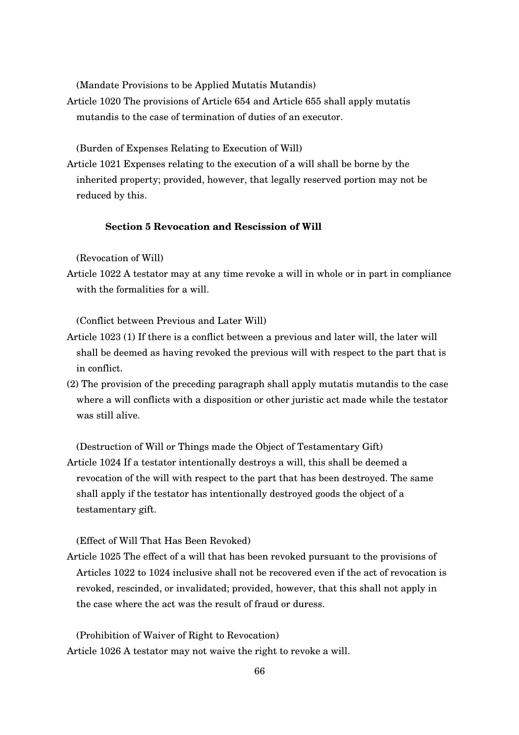(Mandate Provisions to be Applied Mutatis Mutandis)

Article 1020 The provisions of Article 654 and Article 655 shall apply mutatis mutandis to the case of termination of duties of an executor.

(Burden of Expenses Relating to Execution of Will)

Article 1021 Expenses relating to the execution of a will shall be borne by the inherited property; provided, however, that legally reserved portion may not be reduced by this.

## **Section 5 Revocation and Rescission of Will**

(Revocation of Will)

Article 1022 A testator may at any time revoke a will in whole or in part in compliance with the formalities for a will.

(Conflict between Previous and Later Will)

- Article 1023 (1) If there is a conflict between a previous and later will, the later will shall be deemed as having revoked the previous will with respect to the part that is in conflict.
- (2) The provision of the preceding paragraph shall apply mutatis mutandis to the case where a will conflicts with a disposition or other juristic act made while the testator was still alive.

(Destruction of Will or Things made the Object of Testamentary Gift)

Article 1024 If a testator intentionally destroys a will, this shall be deemed a revocation of the will with respect to the part that has been destroyed. The same shall apply if the testator has intentionally destroyed goods the object of a testamentary gift.

(Effect of Will That Has Been Revoked)

Article 1025 The effect of a will that has been revoked pursuant to the provisions of Articles 1022 to 1024 inclusive shall not be recovered even if the act of revocation is revoked, rescinded, or invalidated; provided, however, that this shall not apply in the case where the act was the result of fraud or duress.

(Prohibition of Waiver of Right to Revocation) Article 1026 A testator may not waive the right to revoke a will.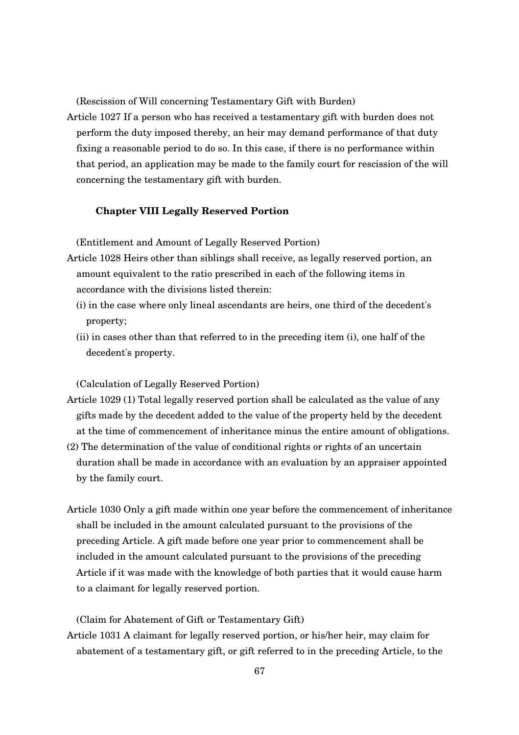(Rescission of Will concerning Testamentary Gift with Burden)

Article 1027 If a person who has received a testamentary gift with burden does not perform the duty imposed thereby, an heir may demand performance of that duty fixing a reasonable period to do so. In this case, if there is no performance within that period, an application may be made to the family court for rescission of the will concerning the testamentary gift with burden.

## **Chapter VIII Legally Reserved Portion**

(Entitlement and Amount of Legally Reserved Portion)

- Article 1028 Heirs other than siblings shall receive, as legally reserved portion, an amount equivalent to the ratio prescribed in each of the following items in accordance with the divisions listed therein:
	- (i) in the case where only lineal ascendants are heirs, one third of the decedent's property;
	- (ii) in cases other than that referred to in the preceding item (i), one half of the decedent's property.

(Calculation of Legally Reserved Portion)

- Article 1029 (1) Total legally reserved portion shall be calculated as the value of any gifts made by the decedent added to the value of the property held by the decedent at the time of commencement of inheritance minus the entire amount of obligations.
- (2) The determination of the value of conditional rights or rights of an uncertain duration shall be made in accordance with an evaluation by an appraiser appointed by the family court.
- Article 1030 Only a gift made within one year before the commencement of inheritance shall be included in the amount calculated pursuant to the provisions of the preceding Article. A gift made before one year prior to commencement shall be included in the amount calculated pursuant to the provisions of the preceding Article if it was made with the knowledge of both parties that it would cause harm to a claimant for legally reserved portion.

(Claim for Abatement of Gift or Testamentary Gift)

Article 1031 A claimant for legally reserved portion, or his/her heir, may claim for abatement of a testamentary gift, or gift referred to in the preceding Article, to the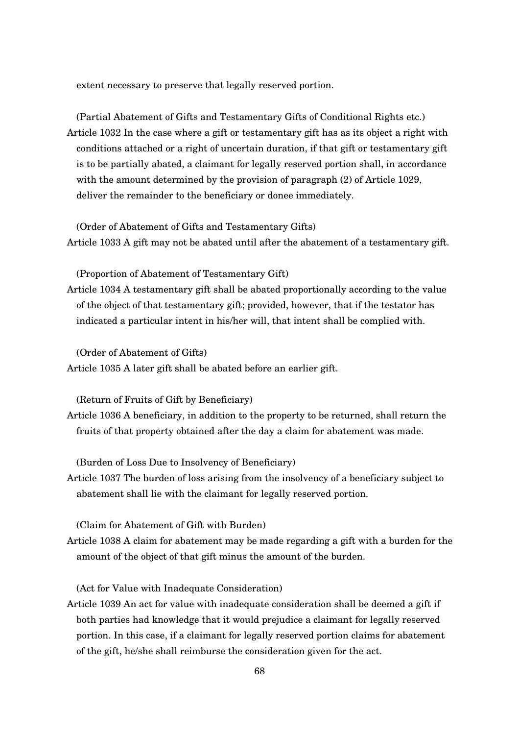extent necessary to preserve that legally reserved portion.

(Partial Abatement of Gifts and Testamentary Gifts of Conditional Rights etc.) Article 1032 In the case where a gift or testamentary gift has as its object a right with conditions attached or a right of uncertain duration, if that gift or testamentary gift is to be partially abated, a claimant for legally reserved portion shall, in accordance with the amount determined by the provision of paragraph (2) of Article 1029, deliver the remainder to the beneficiary or donee immediately.

(Order of Abatement of Gifts and Testamentary Gifts) Article 1033 A gift may not be abated until after the abatement of a testamentary gift.

(Proportion of Abatement of Testamentary Gift)

Article 1034 A testamentary gift shall be abated proportionally according to the value of the object of that testamentary gift; provided, however, that if the testator has indicated a particular intent in his/her will, that intent shall be complied with.

(Order of Abatement of Gifts) Article 1035 A later gift shall be abated before an earlier gift.

(Return of Fruits of Gift by Beneficiary)

Article 1036 A beneficiary, in addition to the property to be returned, shall return the fruits of that property obtained after the day a claim for abatement was made.

(Burden of Loss Due to Insolvency of Beneficiary)

Article 1037 The burden of loss arising from the insolvency of a beneficiary subject to abatement shall lie with the claimant for legally reserved portion.

(Claim for Abatement of Gift with Burden)

Article 1038 A claim for abatement may be made regarding a gift with a burden for the amount of the object of that gift minus the amount of the burden.

(Act for Value with Inadequate Consideration)

Article 1039 An act for value with inadequate consideration shall be deemed a gift if both parties had knowledge that it would prejudice a claimant for legally reserved portion. In this case, if a claimant for legally reserved portion claims for abatement of the gift, he/she shall reimburse the consideration given for the act.